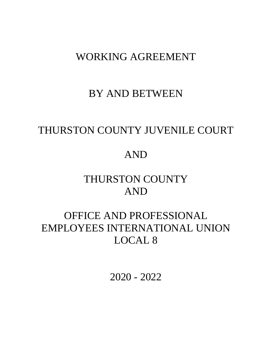## WORKING AGREEMENT

## BY AND BETWEEN

# THURSTON COUNTY JUVENILE COURT

# AND

# THURSTON COUNTY AND

# OFFICE AND PROFESSIONAL EMPLOYEES INTERNATIONAL UNION LOCAL 8

2020 - 2022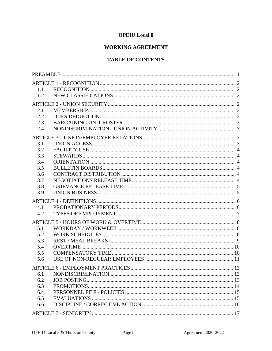## **OPEIU** Local 8

## **WORKING AGREEMENT**

## **TABLE OF CONTENTS**

| 1.1 |  |
|-----|--|
| 1.2 |  |
|     |  |
| 2.1 |  |
| 2.2 |  |
| 2.3 |  |
| 2.4 |  |
|     |  |
| 3.1 |  |
| 3.2 |  |
| 3.3 |  |
| 3.4 |  |
| 3.5 |  |
| 3.6 |  |
| 3.7 |  |
| 3.8 |  |
| 3.9 |  |
|     |  |
| 4.1 |  |
| 4.2 |  |
|     |  |
| 5.1 |  |
| 5.2 |  |
| 5.3 |  |
| 5.4 |  |
| 5.5 |  |
| 5.6 |  |
|     |  |
| 6.1 |  |
| 6.2 |  |
| 6.3 |  |
| 6.4 |  |
| 6.5 |  |
| 6.6 |  |
|     |  |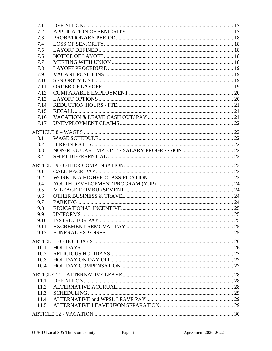| 7.1  |                        |  |
|------|------------------------|--|
| 7.2  |                        |  |
| 7.3  |                        |  |
| 7.4  |                        |  |
| 7.5  |                        |  |
| 7.6  |                        |  |
| 7.7  |                        |  |
| 7.8  |                        |  |
| 7.9  |                        |  |
| 7.10 |                        |  |
| 7.11 |                        |  |
| 7.12 |                        |  |
| 7.13 |                        |  |
| 7.14 |                        |  |
| 7.15 |                        |  |
| 7.16 |                        |  |
| 7.17 |                        |  |
|      |                        |  |
|      |                        |  |
| 8.1  |                        |  |
| 8.2  |                        |  |
| 8.3  |                        |  |
| 8.4  |                        |  |
|      |                        |  |
| 9.1  |                        |  |
| 9.2  |                        |  |
| 9.4  |                        |  |
| 9.5  |                        |  |
| 9.6  |                        |  |
| 9.7  |                        |  |
| 9.8  |                        |  |
| 9.9  |                        |  |
| 9.10 | <b>INSTRUCTOR PAY.</b> |  |
|      |                        |  |
|      |                        |  |
|      |                        |  |
|      |                        |  |
| 10.1 |                        |  |
| 10.2 |                        |  |
| 10.3 |                        |  |
| 10.4 |                        |  |
|      |                        |  |
| 11.1 |                        |  |
| 11.2 |                        |  |
| 11.3 |                        |  |
| 11.4 |                        |  |
| 11.5 |                        |  |
|      |                        |  |
|      |                        |  |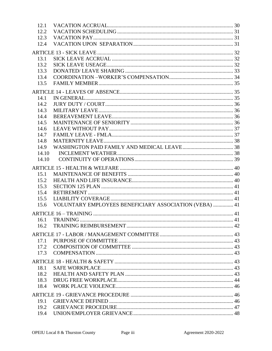| 12.1         |                                                        |  |
|--------------|--------------------------------------------------------|--|
| 12.2         |                                                        |  |
| 12.3         |                                                        |  |
| 12.4         |                                                        |  |
|              |                                                        |  |
| 13.1         |                                                        |  |
| 13.2         |                                                        |  |
| 13.3         |                                                        |  |
| 13.4         |                                                        |  |
| 13.5         |                                                        |  |
|              |                                                        |  |
|              |                                                        |  |
| 14.1         |                                                        |  |
| 14.2         |                                                        |  |
| 14.3         |                                                        |  |
| 14.4         |                                                        |  |
| 14.5         |                                                        |  |
| 14.6         |                                                        |  |
| 14.7         |                                                        |  |
| 14.8<br>14.9 |                                                        |  |
|              |                                                        |  |
| 14.10        |                                                        |  |
| 14.10        |                                                        |  |
|              |                                                        |  |
| 15.1         |                                                        |  |
| 15.2         |                                                        |  |
| 15.3         |                                                        |  |
| 15.4         |                                                        |  |
| 15.5         |                                                        |  |
| 15.6         | VOLUNTARY EMPLOYEES BENEFICIARY ASSOCIATION (VEBA)  41 |  |
|              |                                                        |  |
|              |                                                        |  |
| 16.2         |                                                        |  |
|              |                                                        |  |
| 17.1         |                                                        |  |
| 17.2         |                                                        |  |
| 17.3         |                                                        |  |
|              |                                                        |  |
|              |                                                        |  |
| 18.1         |                                                        |  |
| 18.2         |                                                        |  |
| 18.3         |                                                        |  |
| 18.4         |                                                        |  |
|              |                                                        |  |
| 19.1         |                                                        |  |
| 19.2         |                                                        |  |
| 19.4         |                                                        |  |
|              |                                                        |  |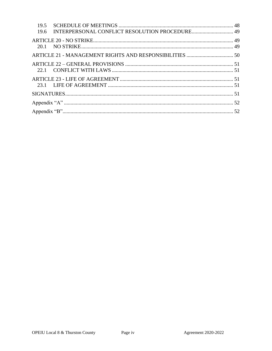| 19.5<br>19.6 |  |
|--------------|--|
|              |  |
|              |  |
|              |  |
|              |  |
|              |  |
|              |  |
|              |  |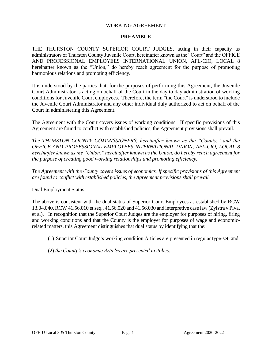#### WORKING AGREEMENT

#### **PREAMBLE**

<span id="page-6-0"></span>THE THURSTON COUNTY SUPERIOR COURT JUDGES, acting in their capacity as administrators of Thurston County Juvenile Court, hereinafter known as the "Court" and the OFFICE AND PROFESSIONAL EMPLOYEES INTERNATIONAL UNION, AFL-CIO, LOCAL 8 hereinafter known as the "Union," do hereby reach agreement for the purpose of promoting harmonious relations and promoting efficiency.

It is understood by the parties that, for the purposes of performing this Agreement, the Juvenile Court Administrator is acting on behalf of the Court in the day to day administration of working conditions for Juvenile Court employees. Therefore, the term "the Court" is understood to include the Juvenile Court Administrator and any other individual duly authorized to act on behalf of the Court in administering this Agreement.

The Agreement with the Court covers issues of working conditions. If specific provisions of this Agreement are found to conflict with established policies, the Agreement provisions shall prevail.

*The THURSTON COUNTY COMMISSIONERS, hereinafter known as the "County," and the OFFICE AND PROFESSIONAL EMPLOYEES INTERNATIONAL UNION, AFL-CIO, LOCAL 8 hereinafter known as the "Union," hereinafter known as the Union, do hereby reach agreement for the purpose of creating good working relationships and promoting efficiency.*

*The Agreement with the County covers issues of economics. If specific provisions of this Agreement are found to conflict with established policies, the Agreement provisions shall prevail.*

Dual Employment Status –

The above is consistent with the dual status of Superior Court Employees as established by RCW 13.04.040, RCW 41.56.010 et seq., 41.56.020 and 41.56.030 and interpretive case law (Zylstra v Piva, et al). In recognition that the Superior Court Judges are the employer for purposes of hiring, firing and working conditions and that the County is the employer for purposes of wage and economicrelated matters, this Agreement distinguishes that dual status by identifying that the:

(1) Superior Court Judge's working condition Articles are presented in regular type-set, and

(2) *the County's economic Articles are presented in italics*.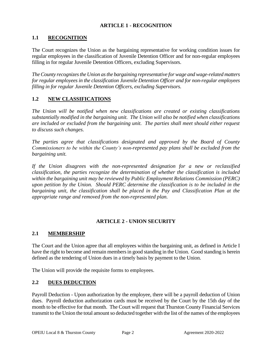## **ARTICLE 1 - RECOGNITION**

## <span id="page-7-1"></span><span id="page-7-0"></span>**1.1 RECOGNITION**

The Court recognizes the Union as the bargaining representative for working condition issues for regular employees in the classification of Juvenile Detention Officer and for non-regular employees filling in for regular Juvenile Detention Officers, excluding Supervisors.

*The County recognizes the Union as the bargaining representative for wage and wage-related matters for regular employees in the classification Juvenile Detention Officer and for non-regular employees filling in for regular Juvenile Detention Officers, excluding Supervisors.* 

## <span id="page-7-2"></span>**1.2 NEW CLASSIFICATIONS**

*The Union will be notified when new classifications are created or existing classifications substantially modified in the bargaining unit. The Union will also be notified when classifications are included or excluded from the bargaining unit. The parties shall meet should either request to discuss such changes.*

*The parties agree that classifications designated and approved by the Board of County Commissioners to be within the County's non-represented pay plans shall be excluded from the bargaining unit.*

*If the Union disagrees with the non-represented designation for a new or reclassified classification, the parties recognize the determination of whether the classification is included within the bargaining unit may be reviewed by Public Employment Relations Commission (PERC) upon petition by the Union. Should PERC determine the classification is to be included in the bargaining unit, the classification shall be placed in the Pay and Classification Plan at the appropriate range and removed from the non-represented plan.*

#### **ARTICLE 2 - UNION SECURITY**

#### <span id="page-7-4"></span><span id="page-7-3"></span>**2.1 MEMBERSHIP**

The Court and the Union agree that all employees within the bargaining unit, as defined in Article I have the right to become and remain members in good standing in the Union. Good standing is herein defined as the tendering of Union dues in a timely basis by payment to the Union.

The Union will provide the requisite forms to employees.

#### <span id="page-7-5"></span>**2.2 DUES DEDUCTION**

Payroll Deduction - Upon authorization by the employee, there will be a payroll deduction of Union dues. Payroll deduction authorization cards must be received by the Court by the 15th day of the month to be effective for that month. The Court will request that Thurston County Financial Services transmit to the Union the total amount so deducted together with the list of the names of the employees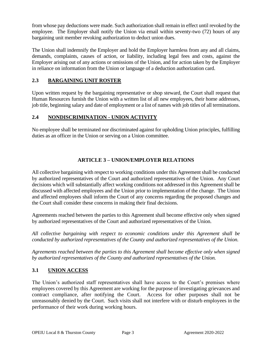from whose pay deductions were made. Such authorization shall remain in effect until revoked by the employee. The Employer shall notify the Union via email within seventy-two (72) hours of any bargaining unit member revoking authorization to deduct union dues.

The Union shall indemnify the Employer and hold the Employer harmless from any and all claims, demands, complaints, causes of action, or liability, including legal fees and costs, against the Employer arising out of any actions or omissions of the Union, and for action taken by the Employer in reliance on information from the Union or language of a deduction authorization card.

## <span id="page-8-0"></span>**2.3 BARGAINING UNIT ROSTER**

Upon written request by the bargaining representative or shop steward, the Court shall request that Human Resources furnish the Union with a written list of all new employees, their home addresses, job title, beginning salary and date of employment or a list of names with job titles of all terminations.

## <span id="page-8-1"></span>**2.4 NONDISCRIMINATION - UNION ACTIVITY**

No employee shall be terminated nor discriminated against for upholding Union principles, fulfilling duties as an officer in the Union or serving on a Union committee.

## **ARTICLE 3 – UNION/EMPLOYER RELATIONS**

<span id="page-8-2"></span>All collective bargaining with respect to working conditions under this Agreement shall be conducted by authorized representatives of the Court and authorized representatives of the Union. Any Court decisions which will substantially affect working conditions not addressed in this Agreement shall be discussed with affected employees and the Union prior to implementation of the change. The Union and affected employees shall inform the Court of any concerns regarding the proposed changes and the Court shall consider these concerns in making their final decisions.

Agreements reached between the parties to this Agreement shall become effective only when signed by authorized representatives of the Court and authorized representatives of the Union.

*All collective bargaining with respect to economic conditions under this Agreement shall be conducted by authorized representatives of the County and authorized representatives of the Union.* 

*Agreements reached between the parties to this Agreement shall become effective only when signed by authorized representatives of the County and authorized representatives of the Union.*

#### <span id="page-8-3"></span>**3.1 UNION ACCESS**

The Union's authorized staff representatives shall have access to the Court's premises where employees covered by this Agreement are working for the purpose of investigating grievances and contract compliance, after notifying the Court. Access for other purposes shall not be unreasonably denied by the Court. Such visits shall not interfere with or disturb employees in the performance of their work during working hours.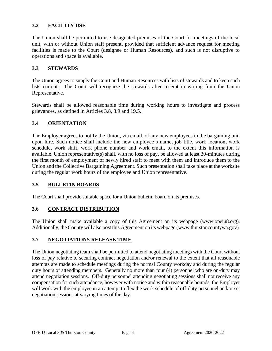## <span id="page-9-0"></span>**3.2 FACILITY USE**

The Union shall be permitted to use designated premises of the Court for meetings of the local unit, with or without Union staff present, provided that sufficient advance request for meeting facilities is made to the Court (designee or Human Resources), and such is not disruptive to operations and space is available.

## <span id="page-9-1"></span>**3.3 STEWARDS**

The Union agrees to supply the Court and Human Resources with lists of stewards and to keep such lists current. The Court will recognize the stewards after receipt in writing from the Union Representative.

Stewards shall be allowed reasonable time during working hours to investigate and process grievances, as defined in Articles 3.8, 3.9 and 19.5.

#### <span id="page-9-2"></span>**3.4 ORIENTATION**

The Employer agrees to notify the Union, via email, of any new employees in the bargaining unit upon hire. Such notice shall include the new employee's name, job title, work location, work schedule, work shift, work phone number and work email, to the extent this information is available. Union representative(s) shall, with no loss of pay, be allowed at least 30-minutes during the first month of employment of newly hired staff to meet with them and introduce them to the Union and the Collective Bargaining Agreement. Such presentation shall take place at the worksite during the regular work hours of the employee and Union representative.

#### <span id="page-9-3"></span>**3.5 BULLETIN BOARDS**

The Court shall provide suitable space for a Union bulletin board on its premises.

#### <span id="page-9-4"></span>**3.6 CONTRACT DISTRIBUTION**

The Union shall make available a copy of this Agreement on its webpage (www.opeiu8.org). Additionally, the County will also post this Agreement on its webpage [\(www.thurstoncountywa.gov\)](http://www.thurstoncountywa.gov/).

#### <span id="page-9-5"></span>**3.7 NEGOTIATIONS RELEASE TIME**

The Union negotiating team shall be permitted to attend negotiating meetings with the Court without loss of pay relative to securing contract negotiation and/or renewal to the extent that all reasonable attempts are made to schedule meetings during the normal County workday and during the regular duty hours of attending members. Generally no more than four (4) personnel who are on-duty may attend negotiation sessions. Off-duty personnel attending negotiating sessions shall not receive any compensation for such attendance, however with notice and within reasonable bounds, the Employer will work with the employee in an attempt to flex the work schedule of off-duty personnel and/or set negotiation sessions at varying times of the day.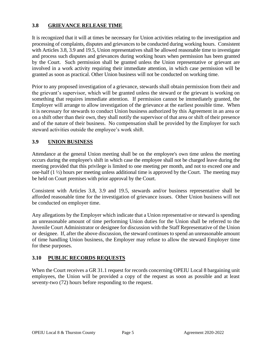## <span id="page-10-0"></span>**3.8 GRIEVANCE RELEASE TIME**

It is recognized that it will at times be necessary for Union activities relating to the investigation and processing of complaints, disputes and grievances to be conducted during working hours. Consistent with Articles 3.8, 3.9 and 19.5, Union representatives shall be allowed reasonable time to investigate and process such disputes and grievances during working hours when permission has been granted by the Court. Such permission shall be granted unless the Union representative or grievant are involved in a work activity requiring their immediate attention, in which case permission will be granted as soon as practical. Other Union business will not be conducted on working time.

Prior to any proposed investigation of a grievance, stewards shall obtain permission from their and the grievant's supervisor, which will be granted unless the steward or the grievant is working on something that requires immediate attention. If permission cannot be immediately granted, the Employer will arrange to allow investigation of the grievance at the earliest possible time. When it is necessary for stewards to conduct Union business authorized by this Agreement in an area or on a shift other than their own, they shall notify the supervisor of that area or shift of their presence and of the nature of their business. No compensation shall be provided by the Employer for such steward activities outside the employee's work shift.

## <span id="page-10-1"></span>**3.9 UNION BUSINESS**

Attendance at the general Union meeting shall be on the employee's own time unless the meeting occurs during the employee's shift in which case the employee shall not be charged leave during the meeting provided that this privilege is limited to one meeting per month, and not to exceed one and one-half (1 ½) hours per meeting unless additional time is approved by the Court. The meeting may be held on Court premises with prior approval by the Court.

Consistent with Articles 3.8, 3.9 and 19.5, stewards and/or business representative shall be afforded reasonable time for the investigation of grievance issues. Other Union business will not be conducted on employer time.

Any allegations by the Employer which indicate that a Union representative or steward is spending an unreasonable amount of time performing Union duties for the Union shall be referred to the Juvenile Court Administrator or designee for discussion with the Staff Representative of the Union or designee. If, after the above discussion, the steward continues to spend an unreasonable amount of time handling Union business, the Employer may refuse to allow the steward Employer time for these purposes.

#### **3.10 PUBLIC RECORDS REQUESTS**

When the Court receives a GR 31.1 request for records concerning OPEIU Local 8 bargaining unit employees, the Union will be provided a copy of the request as soon as possible and at least seventy-two (72) hours before responding to the request.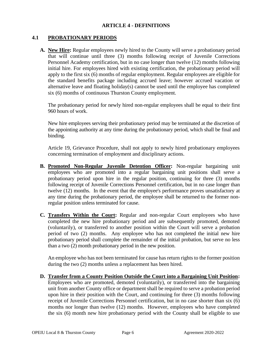#### **ARTICLE 4 - DEFINITIONS**

## <span id="page-11-1"></span><span id="page-11-0"></span>**4.1 PROBATIONARY PERIODS**

**A. New Hire:** Regular employees newly hired to the County will serve a probationary period that will continue until three (3) months following receipt of Juvenile Corrections Personnel Academy certification, but in no case longer than twelve (12) months following initial hire. For employees hired with existing certification, the probationary period will apply to the first six (6) months of regular employment. Regular employees are eligible for the standard benefits package including accrued leave; however accrued vacation or alternative leave and floating holiday(s) cannot be used until the employee has completed six (6) months of continuous Thurston County employment.

The probationary period for newly hired non-regular employees shall be equal to their first 960 hours of work.

New hire employees serving their probationary period may be terminated at the discretion of the appointing authority at any time during the probationary period, which shall be final and binding.

Article 19, Grievance Procedure, shall not apply to newly hired probationary employees concerning termination of employment and disciplinary actions.

- **B. Promoted Non-Regular Juvenile Detention Officer:** Non-regular bargaining unit employees who are promoted into a regular bargaining unit positions shall serve a probationary period upon hire in the regular position, continuing for three (3) months following receipt of Juvenile Corrections Personnel certification, but in no case longer than twelve (12) months. In the event that the employee's performance proves unsatisfactory at any time during the probationary period, the employee shall be returned to the former nonregular position unless terminated for cause.
- **C. Transfers Within the Court:** Regular and non-regular Court employees who have completed the new hire probationary period and are subsequently promoted, demoted (voluntarily), or transferred to another position within the Court will serve a probation period of two (2) months. Any employee who has not completed the initial new hire probationary period shall complete the remainder of the initial probation, but serve no less than a two (2) month probationary period in the new position.

An employee who has not been terminated for cause has return rights to the former position during the two (2) months unless a replacement has been hired.

**D. Transfer from a County Position Outside the Court into a Bargaining Unit Position:**  Employees who are promoted, demoted (voluntarily), or transferred into the bargaining unit from another County office or department shall be required to serve a probation period upon hire in their position with the Court, and continuing for three (3) months following receipt of Juvenile Corrections Personnel certification, but in no case shorter than six (6) months nor longer than twelve (12) months. However, employees who have completed the six (6) month new hire probationary period with the County shall be eligible to use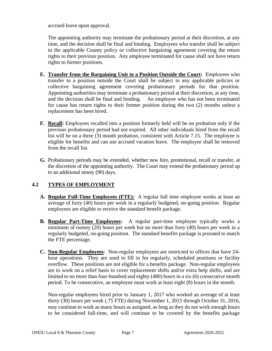accrued leave upon approval.

The appointing authority may terminate the probationary period at their discretion, at any time, and the decision shall be final and binding. Employees who transfer shall be subject to the applicable County policy or collective bargaining agreement covering the return rights to their previous position. Any employee terminated for cause shall not have return rights to former positions.

- **E. Transfer from the Bargaining Unit to a Position Outside the Court:** Employees who transfer to a position outside the Court shall be subject to any applicable policies or collective bargaining agreement covering probationary periods for that position. Appointing authorities may terminate a probationary period at their discretion, at any time, and the decision shall be final and binding. An employee who has not been terminated for cause has return rights to their former position during the two (2) months unless a replacement has been hired.
- **F. Recall:** Employees recalled into a position formerly held will be on probation only if the previous probationary period had not expired. All other individuals hired from the recall list will be on a three (3) month probation, consistent with Article 7.15. The employee is eligible for benefits and can use accrued vacation leave. The employee shall be removed from the recall list.
- **G.** Probationary periods may be extended, whether new hire, promotional, recall or transfer, at the discretion of the appointing authority. The Court may extend the probationary period up to an additional ninety (90) days.

## <span id="page-12-0"></span>**4.2 TYPES OF EMPLOYMENT**

- **A. Regular Full-Time Employees (FTE):** A regular full time employee works at least an average of forty (40) hours per week in a regularly budgeted, on-going position. Regular employees are eligible to receive the standard benefit package.
- **B. Regular Part-Time Employees:** A regular part-time employee typically works a minimum of twenty (20) hours per week but no more than forty (40) hours per week in a regularly budgeted, on-going position. The standard benefits package is prorated to match the FTE percentage.
- **C. Non-Regular Employees**: Non-regular employees are restricted to offices that have 24 hour operations. They are used to fill in for regularly, scheduled positions or facility overflow. These positions are not eligible for a benefits package. Non-regular employees are to work on a relief basis to cover replacement shifts and/or extra help shifts, and are limited to no more than four-hundred and eighty (480) hours in a six (6) consecutive month period. To be consecutive, an employee must work at least eight (8) hours in the month.

Non-regular employees hired prior to January 1, 2017 who worked an average of at least thirty (30) hours per week (.75 FTE) during November 1, 2015 through October 31, 2016, may continue to work as many hours as assigned, as long as they do not work enough hours to be considered full-time, and will continue to be covered by the benefits package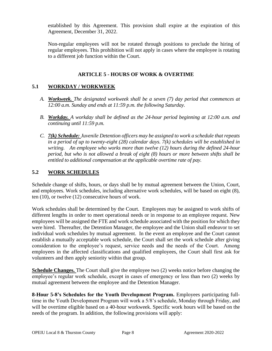established by this Agreement. This provision shall expire at the expiration of this Agreement, December 31, 2022.

Non-regular employees will not be rotated through positions to preclude the hiring of regular employees. This prohibition will not apply in cases where the employee is rotating to a different job function within the Court.

## **ARTICLE 5 - HOURS OF WORK & OVERTIME**

## <span id="page-13-1"></span><span id="page-13-0"></span>**5.1 WORKDAY / WORKWEEK**

- *A. Workweek. The designated workweek shall be a seven (7) day period that commences at 12:00 a.m. Sunday and ends at 11:59 p.m. the following Saturday.*
- *B. Workday. A workday shall be defined as the 24-hour period beginning at 12:00 a.m. and continuing until 11:59 p.m.*
- *C. 7(k) Schedule: Juvenile Detention officers may be assigned to work a schedule that repeats in a period of up to twenty-eight (28) calendar days. 7(k) schedules will be established in writing. An employee who works more than twelve (12) hours during the defined 24-hour period, but who is not allowed a break of eight (8) hours or more between shifts shall be entitled to additional compensation at the applicable overtime rate of pay.*

## <span id="page-13-2"></span>**5.2 WORK SCHEDULES**

Schedule change of shifts, hours, or days shall be by mutual agreement between the Union, Court, and employees. Work schedules, including alternative work schedules, will be based on eight (8), ten (10), or twelve (12) consecutive hours of work.

Work schedules shall be determined by the Court. Employees may be assigned to work shifts of different lengths in order to meet operational needs or in response to an employee request. New employees will be assigned the FTE and work schedule associated with the position for which they were hired. Thereafter, the Detention Manager, the employee and the Union shall endeavor to set individual work schedules by mutual agreement. In the event an employee and the Court cannot establish a mutually acceptable work schedule, the Court shall set the work schedule after giving consideration to the employee's request, service needs and the needs of the Court. Among employees in the affected classifications and qualified employees, the Court shall first ask for volunteers and then apply seniority within that group.

**Schedule Changes.** The Court shall give the employee two (2) weeks notice before changing the employee's regular work schedule, except in cases of emergency or less than two (2) weeks by mutual agreement between the employee and the Detention Manager.

**8-Hour 5-8's Schedules for the Youth Development Program.** Employees participating fulltime in the Youth Development Program will work a 5/8's schedule, Monday through Friday, and will be overtime eligible based on a 40-hour workweek. Specific work hours will be based on the needs of the program. In addition, the following provisions will apply: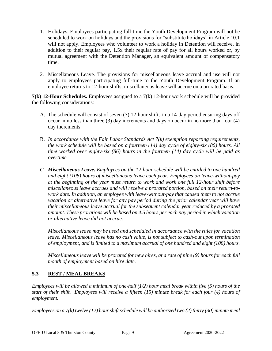- 1. Holidays. Employees participating full-time the Youth Development Program will not be scheduled to work on holidays and the provisions for "substitute holidays" in Article 10.1 will not apply. Employees who volunteer to work a holiday in Detention will receive, in addition to their regular pay, 1.5x their regular rate of pay for all hours worked or, by mutual agreement with the Detention Manager, an equivalent amount of compensatory time.
- 2. Miscellaneous Leave. The provisions for miscellaneous leave accrual and use will not apply to employees participating full-time to the Youth Development Program. If an employee returns to 12-hour shifts, miscellaneous leave will accrue on a prorated basis.

**7(k) 12-Hour Schedules.** Employees assigned to a 7(k) 12-hour work schedule will be provided the following considerations:

- A. The schedule will consist of seven (7) 12-hour shifts in a 14-day period ensuring days off occur in no less than three (3) day increments and days on occur in no more than four (4) day increments.
- B. *In accordance with the Fair Labor Standards Act 7(k) exemption reporting requirements, the work schedule will be based on a fourteen (14) day cycle of eighty-six (86) hours. All time worked over eighty-six (86) hours in the fourteen (14) day cycle will be paid as overtime.*
- *C. Miscellaneous Leave. Employees on the 12-hour schedule will be entitled to one hundred and eight (108) hours of miscellaneous leave each year. Employees on leave-without-pay at the beginning of the year must return to work and work one full 12-hour shift before miscellaneous leave accrues and will receive a prorated portion, based on their return-towork date. In addition, an employee with leave-without-pay that caused them to not accrue vacation or alternative leave for any pay period during the prior calendar year will have their miscellaneous leave accrual for the subsequent calendar year reduced by a prorated amount. These prorations will be based on 4.5 hours per each pay period in which vacation or alternative leave did not accrue.*

*Miscellaneous leave may be used and scheduled in accordance with the rules for vacation leave. Miscellaneous leave has no cash value, is not subject to cash-out upon termination of employment, and is limited to a maximum accrual of one hundred and eight (108) hours.* 

*Miscellaneous leave will be prorated for new hires, at a rate of nine (9) hours for each full month of employment based on hire date.*

## <span id="page-14-0"></span>**5.3 REST / MEAL BREAKS**

*Employees will be allowed a minimum of one-half (1/2) hour meal break within five (5) hours of the start of their shift. Employees will receive a fifteen (15) minute break for each four (4) hours of employment.*

*Employees on a 7(k) twelve (12) hour shift schedule will be authorized two (2) thirty (30) minute meal*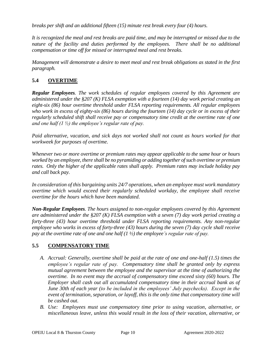*breaks per shift and an additional fifteen (15) minute rest break every four (4) hours.* 

*It is recognized the meal and rest breaks are paid time, and may be interrupted or missed due to the nature of the facility and duties performed by the employees. There shall be no additional compensation or time off for missed or interrupted meal and rest breaks.*

*Management will demonstrate a desire to meet meal and rest break obligations as stated in the first paragraph.* 

## <span id="page-15-0"></span>**5.4 OVERTIME**

*Regular Employees. The work schedules of regular employees covered by this Agreement are administered under the §207 (K) FLSA exemption with a fourteen (14) day work period creating an eight-six (86) hour overtime threshold under FLSA reporting requirements. All regular employees who work in excess of eighty-six (86) hours during the fourteen (14) day cycle or in excess of their regularly scheduled shift shall receive pay or compensatory time credit at the overtime rate of one and one half (1 ½) the employee's regular rate of pay.* 

*Paid alternative, vacation, and sick days not worked shall not count as hours worked for that workweek for purposes of overtime.* 

*Whenever two or more overtime or premium rates may appear applicable to the same hour or hours worked by an employee, there shall be no pyramiding or adding together of such overtime or premium rates. Only the higher of the applicable rates shall apply. Premium rates may include holiday pay and call back pay.* 

*In consideration of this bargaining units 24/7 operations, when an employee must work mandatory overtime which would exceed their regularly scheduled workday, the employee shall receive overtime for the hours which have been mandated.* 

*Non-Regular Employees. The hours assigned to non-regular employees covered by this Agreement are administered under the §207 (K) FLSA exemption with a seven (7) day work period creating a forty-three (43) hour overtime threshold under FLSA reporting requirements. Any non-regular employee who works in excess of forty-three (43) hours during the seven (7) day cycle shall receive pay at the overtime rate of one and one half (1 ½) the employee's regular rate of pay.* 

## <span id="page-15-1"></span>**5.5 COMPENSATORY TIME**

- *A. Accrual: Generally, overtime shall be paid at the rate of one and one-half (1.5) times the employee's regular rate of pay. Compensatory time shall be granted only by express mutual agreement between the employee and the supervisor at the time of authorizing the overtime. In no event may the accrual of compensatory time exceed sixty (60) hours. The Employer shall cash out all accumulated compensatory time in their accrual bank as of June 30th of each year (to be included in the employees' July paychecks). Except in the event of termination, separation, or layoff, this is the only time that compensatory time will be cashed out.*
- *B. Use: Employees must use compensatory time prior to using vacation, alternative, or miscellaneous leave, unless this would result in the loss of their vacation, alternative, or*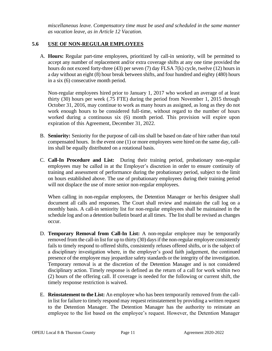*miscellaneous leave. Compensatory time must be used and scheduled in the same manner as vacation leave, as in Article 12 Vacation.*

#### <span id="page-16-0"></span>**5.6 USE OF NON-REGULAR EMPLOYEES**

A. **Hours:** Regular part-time employees, prioritized by call-in seniority, will be permitted to accept any number of replacement and/or extra coverage shifts at any one time provided the hours do not exceed forty-three (43) per seven (7) day FLSA 7(k) cycle, twelve (12) hours in a day without an eight (8) hour break between shifts, and four hundred and eighty (480) hours in a six (6) consecutive month period.

Non-regular employees hired prior to January 1, 2017 who worked an average of at least thirty (30) hours per week (.75 FTE) during the period from November 1, 2015 through October 31, 2016, may continue to work as many hours as assigned, as long as they do not work enough hours to be considered full-time, without regard to the number of hours worked during a continuous six (6) month period. This provision will expire upon expiration of this Agreement, December 31, 2022.

- B. **Seniority:** Seniority for the purpose of call-ins shall be based on date of hire rather than total compensated hours. In the event one (1) or more employees were hired on the same day, callins shall be equally distributed on a rotational basis.
- C. **Call-In Procedure and List:** During their training period, probationary non-regular employees may be called in at the Employer's discretion in order to ensure continuity of training and assessment of performance during the probationary period, subject to the limit on hours established above. The use of probationary employees during their training period will not displace the use of more senior non-regular employees.

When calling in non-regular employees, the Detention Manager or her/his designee shall document all calls and responses. The Court shall review and maintain the call log on a monthly basis. A call-in seniority list for non-regular employees shall be maintained in the schedule log and on a detention bulletin board at all times. The list shall be revised as changes occur.

- D. **Temporary Removal from Call-In List:** A non-regular employee may be temporarily removed from the call-in list for up to thirty (30) days if the non-regular employee consistently fails to timely respond to offered shifts, consistently refuses offered shifts, or is the subject of a disciplinary investigation where, in the employer's good faith judgement, the continued presence of the employee may jeopardize safety standards or the integrity of the investigation. Temporary removal is at the discretion of the Detention Manager and is not considered disciplinary action. Timely response is defined as the return of a call for work within two (2) hours of the offering call. If coverage is needed for the following or current shift, the timely response restriction is waived.
- E. **Reinstatement to the List:** An employee who has been temporarily removed from the callin list for failure to timely respond may request reinstatement by providing a written request to the Detention Manager. The Detention Manager has the authority to reinstate an employee to the list based on the employee's request. However, the Detention Manager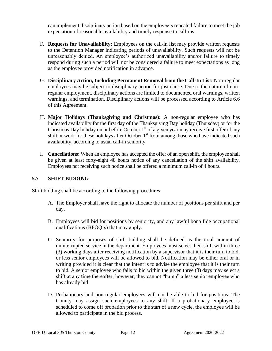can implement disciplinary action based on the employee's repeated failure to meet the job expectation of reasonable availability and timely response to call-ins.

- F. **Requests for Unavailability:** Employees on the call-in list may provide written requests to the Detention Manager indicating periods of unavailability. Such requests will not be unreasonably denied. An employee's authorized unavailability and/or failure to timely respond during such a period will not be considered a failure to meet expectations as long as the employee provided notification in advance.
- G. **Disciplinary Action, Including Permanent Removal from the Call-In List:** Non-regular employees may be subject to disciplinary action for just cause. Due to the nature of nonregular employment, disciplinary actions are limited to documented oral warnings, written warnings, and termination. Disciplinary actions will be processed according to Article 6.6 of this Agreement.
- H. **Major Holidays (Thanksgiving and Christmas):** A non-regular employee who has indicated availability for the first day of the Thanksgiving Day holiday (Thursday) or for the Christmas Day holiday on or before October  $1<sup>st</sup>$  of a given year may receive first offer of any shift or work for these holidays after October 1<sup>st</sup> from among those who have indicated such availability, according to usual call-in seniority.
- I. **Cancellations:** When an employee has accepted the offer of an open shift, the employee shall be given at least forty-eight 48 hours notice of any cancellation of the shift availability. Employees not receiving such notice shall be offered a minimum call-in of 4 hours.

## **5.7 SHIFT BIDDING**

Shift bidding shall be according to the following procedures:

- A. The Employer shall have the right to allocate the number of positions per shift and per day.
- B. Employees will bid for positions by seniority, and any lawful bona fide occupational qualifications (BFOQ's) that may apply.
- C. Seniority for purposes of shift bidding shall be defined as the total amount of uninterrupted service in the department. Employees must select their shift within three (3) working days after receiving notification by a supervisor that it is their turn to bid, or less senior employees will be allowed to bid. Notification may be either oral or in writing provided it is clear that the intent is to advise the employee that it is their turn to bid. A senior employee who fails to bid within the given three (3) days may select a shift at any time thereafter; however, they cannot "bump" a less senior employee who has already bid.
- D. Probationary and non-regular employees will not be able to bid for positions. The County may assign such employees to any shift. If a probationary employee is scheduled to come off probation prior to the start of a new cycle, the employee will be allowed to participate in the bid process.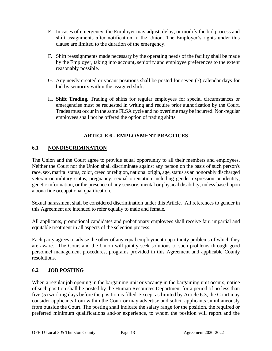- E. In cases of emergency, the Employer may adjust, delay, or modify the bid process and shift assignments after notification to the Union. The Employer's rights under this clause are limited to the duration of the emergency.
- F. Shift reassignments made necessary by the operating needs of the facility shall be made by the Employer, taking into account**,** seniority and employee preferences to the extent reasonably possible.
- G. Any newly created or vacant positions shall be posted for seven (7) calendar days for bid by seniority within the assigned shift.
- H. **Shift Trading.** Trading of shifts for regular employees for special circumstances or emergencies must be requested in writing and require prior authorization by the Court. Trades must occur in the same FLSA cycle and no overtime may be incurred. Non-regular employees shall not be offered the option of trading shifts.

## **ARTICLE 6 - EMPLOYMENT PRACTICES**

## <span id="page-18-1"></span><span id="page-18-0"></span>**6.1 NONDISCRIMINATION**

The Union and the Court agree to provide equal opportunity to all their members and employees. Neither the Court nor the Union shall discriminate against any person on the basis of such person's race, sex, marital status, color, creed or religion, national origin, age, status as an honorably discharged veteran or military status, pregnancy, sexual orientation including gender expression or identity, genetic information, or the presence of any sensory, mental or physical disability, unless based upon a bona fide occupational qualification.

Sexual harassment shall be considered discrimination under this Article. All references to gender in this Agreement are intended to refer equally to male and female.

All applicants, promotional candidates and probationary employees shall receive fair, impartial and equitable treatment in all aspects of the selection process.

Each party agrees to advise the other of any equal employment opportunity problems of which they are aware. The Court and the Union will jointly seek solutions to such problems through good personnel management procedures, programs provided in this Agreement and applicable County resolutions.

## <span id="page-18-2"></span>**6.2 JOB POSTING**

When a regular job opening in the bargaining unit or vacancy in the bargaining unit occurs, notice of such position shall be posted by the Human Resources Department for a period of no less than five (5) working days before the position is filled. Except as limited by Article 6.3, the Court may consider applicants from within the Court or may advertise and solicit applicants simultaneously from outside the Court. The posting shall indicate the salary range for the position, the required or preferred minimum qualifications and/or experience, to whom the position will report and the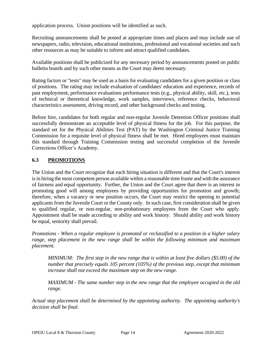application process. Union positions will be identified as such.

Recruiting announcements shall be posted at appropriate times and places and may include use of newspapers, radio, television, educational institutions, professional and vocational societies and such other resources as may be suitable to inform and attract qualified candidates.

Available positions shall be publicized for any necessary period by announcements posted on public bulletin boards and by such other means as the Court may deem necessary.

Rating factors or "tests" may be used as a basis for evaluating candidates for a given position or class of positions. The rating may include evaluation of candidates' education and experience, records of past employment, performance evaluations performance tests (e.g., physical ability, skill, etc.), tests of technical or theoretical knowledge, work samples, interviews, reference checks, behavioral characteristics assessment, driving record, and other background checks and testing.

Before hire, candidates for both regular and non-regular Juvenile Detention Officer positions shall successfully demonstrate an acceptable level of physical fitness for the job. For this purpose, the standard set for the Physical Abilities Test (PAT) by the Washington Criminal Justice Training Commission for a requisite level of physical fitness shall be met. Hired employees must maintain this standard through Training Commission testing and successful completion of the Juvenile Corrections Officer's Academy.

## <span id="page-19-0"></span>**6.3 PROMOTIONS**

The Union and the Court recognize that each hiring situation is different and that the Court's interest is in hiring the most competent person available within a reasonable time frame and with the assurance of fairness and equal opportunity. Further, the Union and the Court agree that there is an interest in promoting good will among employees by providing opportunities for promotion and growth; therefore, when a vacancy or new position occurs, the Court may restrict the opening to potential applicants from the Juvenile Court or the County only. In such case, first consideration shall be given to qualified regular, or non-regular, non-probationary employees from the Court who apply. Appointment shall be made according to ability and work history. Should ability and work history be equal, seniority shall prevail.

*Promotions - When a regular employee is promoted or reclassified to a position in a higher salary range, step placement in the new range shall be within the following minimum and maximum placement.* 

*MINIMUM: The first step in the new range that is within at least five dollars (\$5.00) of the number that precisely equals 105 percent (105%) of the previous step, except that minimum increase shall not exceed the maximum step on the new range.*

*MAXIMUM - The same number step in the new range that the employee occupied in the old range.*

*Actual step placement shall be determined by the appointing authority. The appointing authority's decision shall be final.*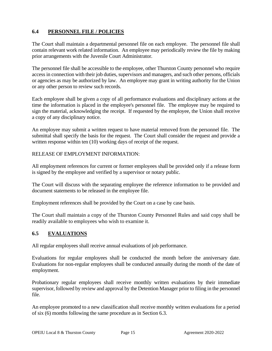## <span id="page-20-0"></span>**6.4 PERSONNEL FILE / POLICIES**

The Court shall maintain a departmental personnel file on each employee. The personnel file shall contain relevant work related information. An employee may periodically review the file by making prior arrangements with the Juvenile Court Administrator.

The personnel file shall be accessible to the employee, other Thurston County personnel who require access in connection with their job duties, supervisors and managers, and such other persons, officials or agencies as may be authorized by law. An employee may grant in writing authority for the Union or any other person to review such records.

Each employee shall be given a copy of all performance evaluations and disciplinary actions at the time the information is placed in the employee's personnel file. The employee may be required to sign the material, acknowledging the receipt. If requested by the employee, the Union shall receive a copy of any disciplinary notice.

An employee may submit a written request to have material removed from the personnel file. The submittal shall specify the basis for the request. The Court shall consider the request and provide a written response within ten (10) working days of receipt of the request.

RELEASE OF EMPLOYMENT INFORMATION:

All employment references for current or former employees shall be provided only if a release form is signed by the employee and verified by a supervisor or notary public.

The Court will discuss with the separating employee the reference information to be provided and document statements to be released in the employee file.

Employment references shall be provided by the Court on a case by case basis.

The Court shall maintain a copy of the Thurston County Personnel Rules and said copy shall be readily available to employees who wish to examine it.

#### <span id="page-20-1"></span>**6.5 EVALUATIONS**

All regular employees shall receive annual evaluations of job performance.

Evaluations for regular employees shall be conducted the month before the anniversary date. Evaluations for non-regular employees shall be conducted annually during the month of the date of employment.

Probationary regular employees shall receive monthly written evaluations by their immediate supervisor, followed by review and approval by the Detention Manager prior to filing in the personnel file.

An employee promoted to a new classification shall receive monthly written evaluations for a period of six (6) months following the same procedure as in Section 6.3.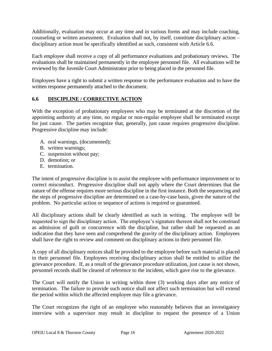Additionally, evaluation may occur at any time and in various forms and may include coaching, counseling or written assessment. Evaluation shall not, by itself, constitute disciplinary action – disciplinary action must be specifically identified as such, consistent with Article 6.6.

Each employee shall receive a copy of all performance evaluations and probationary reviews. The evaluations shall be maintained permanently in the employee personnel file. All evaluations will be reviewed by the Juvenile Court Administrator prior to being placed in the personnel file.

Employees have a right to submit a written response to the performance evaluation and to have the written response permanently attached to the document.

## <span id="page-21-0"></span>**6.6 DISCIPLINE / CORRECTIVE ACTION**

With the exception of probationary employees who may be terminated at the discretion of the appointing authority at any time, no regular or non-regular employee shall be terminated except for just cause. The parties recognize that, generally, just cause requires progressive discipline. Progressive discipline may include:

- A. oral warnings, (documented);
- B. written warnings;
- C. suspension without pay;
- D. demotion; or
- E. termination.

The intent of progressive discipline is to assist the employee with performance improvement or to correct misconduct. Progressive discipline shall not apply where the Court determines that the nature of the offense requires more serious discipline in the first instance. Both the sequencing and the steps of progressive discipline are determined on a case-by-case basis, given the nature of the problem. No particular action or sequence of actions is required or guaranteed.

All disciplinary actions shall be clearly identified as such in writing. The employee will be requested to sign the disciplinary action. The employee's signature thereon shall not be construed as admission of guilt or concurrence with the discipline, but rather shall be requested as an indication that they have seen and comprehend the gravity of the disciplinary action. Employees shall have the right to review and comment on disciplinary actions in their personnel file.

A copy of all disciplinary notices shall be provided to the employee before such material is placed in their personnel file. Employees receiving disciplinary action shall be entitled to utilize the grievance procedure. If, as a result of the grievance procedure utilization, just cause is not shown, personnel records shall be cleared of reference to the incident, which gave rise to the grievance.

The Court will notify the Union in writing within three (3) working days after any notice of termination. The failure to provide such notice shall not affect such termination but will extend the period within which the affected employee may file a grievance.

The Court recognizes the right of an employee who reasonably believes that an investigatory interview with a supervisor may result in discipline to request the presence of a Union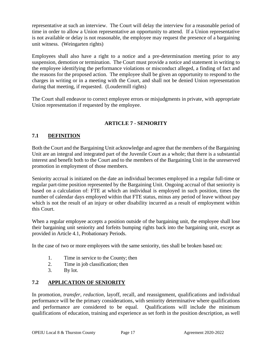representative at such an interview. The Court will delay the interview for a reasonable period of time in order to allow a Union representative an opportunity to attend. If a Union representative is not available or delay is not reasonable, the employee may request the presence of a bargaining unit witness. (Weingarten rights)

Employees shall also have a right to a notice and a pre-determination meeting prior to any suspension, demotion or termination. The Court must provide a notice and statement in writing to the employee identifying the performance violations or misconduct alleged, a finding of fact and the reasons for the proposed action. The employee shall be given an opportunity to respond to the charges in writing or in a meeting with the Court, and shall not be denied Union representation during that meeting, if requested. (Loudermill rights)

The Court shall endeavor to correct employee errors or misjudgments in private, with appropriate Union representation if requested by the employee.

## **ARTICLE 7 - SENIORITY**

## <span id="page-22-1"></span><span id="page-22-0"></span>**7.1 DEFINITION**

Both the Court and the Bargaining Unit acknowledge and agree that the members of the Bargaining Unit are an integral and integrated part of the Juvenile Court as a whole; that there is a substantial interest and benefit both to the Court and to the members of the Bargaining Unit in the unreserved promotion in employment of those members.

Seniority accrual is initiated on the date an individual becomes employed in a regular full-time or regular part-time position represented by the Bargaining Unit. Ongoing accrual of that seniority is based on a calculation of: FTE at which an individual is employed in such position, times the number of calendar days employed within that FTE status, minus any period of leave without pay which is not the result of an injury or other disability incurred as a result of employment within this Court.

When a regular employee accepts a position outside of the bargaining unit, the employee shall lose their bargaining unit seniority and forfeits bumping rights back into the bargaining unit, except as provided in Article 4.1, Probationary Periods.

In the case of two or more employees with the same seniority, ties shall be broken based on:

- 1. Time in service to the County; then
- 2. Time in job classification; then
- 3. By lot.

## <span id="page-22-2"></span>**7.2 APPLICATION OF SENIORITY**

In promotion, *transfer, reduction*, layoff, recall, and reassignment, qualifications and individual performance will be the primary considerations, with seniority determinative where qualifications and performance are considered to be equal. Qualifications will include the minimum qualifications of education, training and experience as set forth in the position description, as well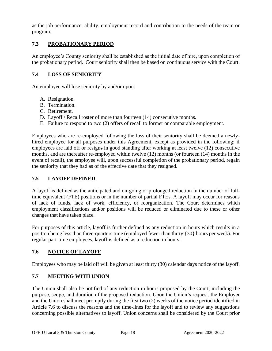as the job performance, ability, employment record and contribution to the needs of the team or program.

## <span id="page-23-0"></span>**7.3 PROBATIONARY PERIOD**

An employee's County seniority shall be established as the initial date of hire, upon completion of the probationary period. Court seniority shall then be based on continuous service with the Court.

## <span id="page-23-1"></span>**7.4 LOSS OF SENIORITY**

An employee will lose seniority by and/or upon:

- A. Resignation.
- B. Termination.
- C. Retirement.
- D. Layoff / Recall roster of more than fourteen (14) consecutive months.
- E. Failure to respond to two (2) offers of recall to former or comparable employment.

Employees who are re-employed following the loss of their seniority shall be deemed a newlyhired employee for all purposes under this Agreement, except as provided in the following: if employees are laid off or resigns in good standing after working at least twelve (12) consecutive months, and are thereafter re-employed within twelve (12) months (or fourteen (14) months in the event of recall), the employee will, upon successful completion of the probationary period, regain the seniority that they had as of the effective date that they resigned.

## <span id="page-23-2"></span>**7.5 LAYOFF DEFINED**

A layoff is defined as the anticipated and on-going or prolonged reduction in the number of fulltime equivalent (FTE) positions or in the number of partial FTEs. A layoff may occur for reasons of lack of funds, lack of work, efficiency, or reorganization. The Court determines which employment classifications and/or positions will be reduced or eliminated due to these or other changes that have taken place.

For purposes of this article, layoff is further defined as any reduction in hours which results in a position being less than three-quarters time (employed fewer than thirty {30} hours per week). For regular part-time employees, layoff is defined as a reduction in hours.

## <span id="page-23-3"></span>**7.6 NOTICE OF LAYOFF**

Employees who may be laid off will be given at least thirty (30) calendar days notice of the layoff.

## <span id="page-23-4"></span>**7.7 MEETING WITH UNION**

The Union shall also be notified of any reduction in hours proposed by the Court, including the purpose, scope, and duration of the proposed reduction. Upon the Union's request, the Employer and the Union shall meet promptly during the first two (2) weeks of the notice period identified in Article 7.6 to discuss the reasons and the time-lines for the layoff and to review any suggestions concerning possible alternatives to layoff. Union concerns shall be considered by the Court prior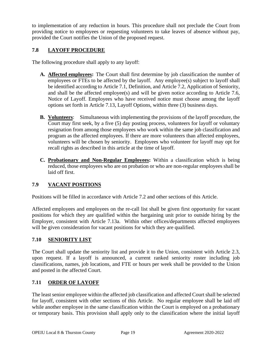to implementation of any reduction in hours. This procedure shall not preclude the Court from providing notice to employees or requesting volunteers to take leaves of absence without pay, provided the Court notifies the Union of the proposed request.

## <span id="page-24-0"></span>**7.8 LAYOFF PROCEDURE**

The following procedure shall apply to any layoff:

- **A. Affected employees:** The Court shall first determine by job classification the number of employees or FTEs to be affected by the layoff. Any employee(s) subject to layoff shall be identified according to Article 7.1, Definition, and Article 7.2, Application of Seniority, and shall be the affected employee(s) and will be given notice according to Article 7.6, Notice of Layoff. Employees who have received notice must choose among the layoff options set forth in Article 7.13, Layoff Options, within three (3) business days.
- **B. Volunteers**: Simultaneous with implementing the provisions of the layoff procedure, the Court may first seek, by a five (5) day posting process, volunteers for layoff or voluntary resignation from among those employees who work within the same job classification and program as the affected employees. If there are more volunteers than affected employees, volunteers will be chosen by seniority. Employees who volunteer for layoff may opt for recall rights as described in this article at the time of layoff.
- **C. Probationary and Non-Regular Employees:** Within a classification which is being reduced, those employees who are on probation or who are non-regular employees shall be laid off first.

## <span id="page-24-1"></span>**7.9 VACANT POSITIONS**

Positions will be filled in accordance with Article 7.2 and other sections of this Article.

Affected employees and employees on the re-call list shall be given first opportunity for vacant positions for which they are qualified within the bargaining unit prior to outside hiring by the Employer, consistent with Article 7.13a. Within other offices/departments affected employees will be given consideration for vacant positions for which they are qualified.

#### <span id="page-24-2"></span>**7.10 SENIORITY LIST**

The Court shall update the seniority list and provide it to the Union, consistent with Article 2.3, upon request. If a layoff is announced, a current ranked seniority roster including job classifications, names, job locations, and FTE or hours per week shall be provided to the Union and posted in the affected Court.

## <span id="page-24-3"></span>**7.11 ORDER OF LAYOFF**

The least senior employee within the affected job classification and affected Court shall be selected for layoff, consistent with other sections of this Article. No regular employee shall be laid off while another employee in the same classification within the Court is employed on a probationary or temporary basis. This provision shall apply only to the classification where the initial layoff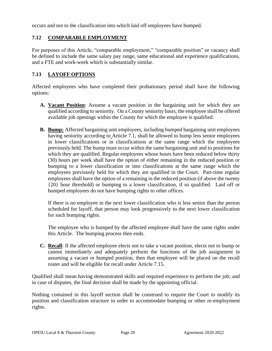occurs and not to the classification into which laid off employees have bumped.

## <span id="page-25-0"></span>**7.12 COMPARABLE EMPLOYMENT**

For purposes of this Article, "comparable employment," "comparable position" or vacancy shall be defined to include the same salary pay range, same educational and experience qualifications, and a FTE and work-week which is substantially similar.

## <span id="page-25-1"></span>**7.13 LAYOFF OPTIONS**

Affected employees who have completed their probationary period shall have the following options:

- **A. Vacant Position**: Assume a vacant position in the bargaining unit for which they are qualified according to seniority. On a County seniority basis, the employee shall be offered available job openings within the County for which the employee is qualified.
- **B. Bump:** Affected bargaining unit employees, including bumped bargaining unit employees having seniority according to Article 7.1, shall be allowed to bump less senior employees in lower classifications or in classifications at the same range which the employees previously held. The bump must occur within the same bargaining unit and to positions for which they are qualified. Regular employees whose hours have been reduced below thirty (30) hours per week shall have the option of either remaining in the reduced position or bumping to a lower classification or into classifications at the same range which the employees previously held for which they are qualified in the Court. Part-time regular employees shall have the option of a remaining in the reduced position (if above the twenty {20} hour threshold) or bumping to a lower classification, if so qualified. Laid off or bumped employees do not have bumping rights to other offices.

If there is no employee in the next lower classification who is less senior than the person scheduled for layoff, that person may look progressively to the next lower classification for such bumping rights.

The employee who is bumped by the affected employee shall have the same rights under this Article. The bumping process then ends.

**C. Recall**: If the affected employee elects not to take a vacant position, elects not to bump or cannot immediately and adequately perform the functions of the job assignment in assuming a vacant or bumped position, then that employee will be placed on the recall roster and will be eligible for recall under Article 7.15.

Qualified shall mean having demonstrated skills and required experience to perform the job; and in case of disputes, the final decision shall be made by the appointing official.

Nothing contained in this layoff section shall be construed to require the Court to modify its position and classification structure in order to accommodate bumping or other re-employment rights.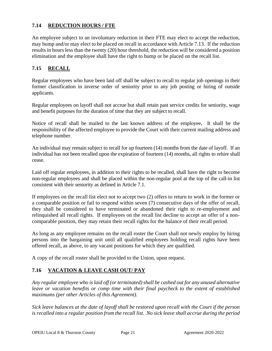## <span id="page-26-0"></span>**7.14 REDUCTION HOURS / FTE**

An employee subject to an involuntary reduction in their FTE may elect to accept the reduction, may bump and/or may elect to be placed on recall in accordance with Article 7.13. If the reduction results in hours less than the twenty (20) hour threshold, the reduction will be considered a position elimination and the employee shall have the right to bump or be placed on the recall list.

## <span id="page-26-1"></span>**7.15 RECALL**

Regular employees who have been laid off shall be subject to recall to regular job openings in their former classification in inverse order of seniority prior to any job posting or hiring of outside applicants.

Regular employees on layoff shall not accrue but shall retain past service credits for seniority, wage and benefit purposes for the duration of time that they are subject to recall.

Notice of recall shall be mailed to the last known address of the employee**.** It shall be the responsibility of the affected employee to provide the Court with their current mailing address and telephone number.

An individual may remain subject to recall for up fourteen (14) months from the date of layoff. If an individual has not been recalled upon the expiration of fourteen (14) months, all rights to rehire shall cease.

Laid off regular employees, in addition to their rights to be recalled, shall have the right to become non-regular employees and shall be placed within the non-regular pool at the top of the call-in list consistent with their seniority as defined in Article 7.1.

If employees on the recall list elect not to accept two (2) offers to return to work in the former or a comparable position or fail to respond within seven (7) consecutive days of the offer of recall, they shall be considered to have terminated or abandoned their right to re-employment and relinquished all recall rights. If employees on the recall list decline to accept an offer of a noncomparable position, they may retain their recall rights for the balance of their recall period.

As long as any employee remains on the recall roster the Court shall not newly employ by hiring persons into the bargaining unit until all qualified employees holding recall rights have been offered recall, as above, to any vacant positions for which they are qualified.

A copy of the recall roster shall be provided to the Union, upon request.

## <span id="page-26-2"></span>**7.16 VACATION & LEAVE CASH OUT/ PAY**

*Any regular employee who is laid off (or terminated) shall be cashed out for any unused alternative*  leave or vacation benefits or comp time with their final paycheck to the extent of established *maximums (per other Articles of this Agreement).*

*Sick leave balances at the date of layoff shall be restored upon recall with the Court if the person is recalled into a regular position from the recall list. No sick leave shall accrue during the period*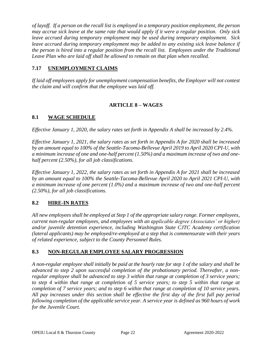*of layoff. If a person on the recall list is employed in a temporary position employment, the person may accrue sick leave at the same rate that would apply if it were a regular position. Only sick leave accrued during temporary employment may be used during temporary employment. Sick*  leave accrued during temporary employment may be added to any existing sick leave balance if *the person is hired into a regular position from the recall list. Employees under the Traditional Leave Plan who are laid off shall be allowed to remain on that plan when recalled.*

## <span id="page-27-0"></span>**7.17 UNEMPLOYMENT CLAIMS**

*If laid off employees apply for unemployment compensation benefits, the Employer will not contest the claim and will confirm that the employee was laid off.* 

## **ARTICLE 8 – WAGES**

## <span id="page-27-2"></span><span id="page-27-1"></span>**8.1 WAGE SCHEDULE**

*Effective January 1, 2020, the salary rates set forth in Appendix A shall be increased by 2.4%.* 

*Effective January 1, 2021, the salary rates as set forth in Appendix A for 2020 shall be increased by an amount equal to 100% of the Seattle-Tacoma-Bellevue April 2019 to April 2020 CPI-U, with a minimum increase of one and one-half percent (1.50%) and a maximum increase of two and onehalf percent (2.50%), for all job classifications.*

*Effective January 1, 2022, the salary rates as set forth in Appendix A for 2021 shall be increased by an amount equal to 100% the Seattle-Tacoma-Bellevue April 2020 to April 2021 CPI-U, with a minimum increase of one percent (1.0%) and a maximum increase of two and one-half percent (2.50%), for all job classifications.*

#### <span id="page-27-3"></span>**8.2 HIRE-IN RATES**

*All new employees shall be employed at Step 1 of the appropriate salary range. Former employees, current non-regular employees, and employees with an applicable degree (Associates' or higher) and/or juvenile detention experience, including Washington State CJTC Academy certification (lateral applicants) may be employed/re-employed at a step that is commensurate with their years of related experience, subject to the County Personnel Rules.*

#### <span id="page-27-4"></span>**8.3 NON-REGULAR EMPLOYEE SALARY PROGRESSION**

*A non-regular employee shall initially be paid at the hourly rate for step 1 of the salary and shall be advanced to step 2 upon successful completion of the probationary period. Thereafter, a nonregular employee shall be advanced to step 3 within that range at completion of 3 service years; to step 4 within that range at completion of 5 service years; to step 5 within that range at completion of 7 service years; and to step 6 within that range at completion of 10 service years. All pay increases under this section shall be effective the first day of the first full pay period following completion of the applicable service year. A service year is defined as 960 hours of work for the Juvenile Court.*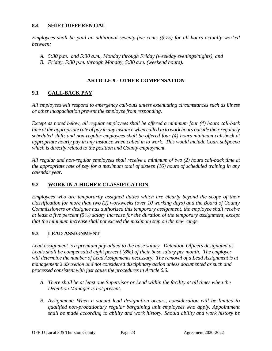### <span id="page-28-0"></span>**8.4 SHIFT DIFFERENTIAL**

*Employees shall be paid an additional seventy-five cents (\$.75) for all hours actually worked between:*

- *A. 5:30 p.m. and 5:30 a.m., Monday through Friday (weekday evenings/nights), and*
- *B. Friday, 5:30 p.m. through Monday, 5:30 a.m. (weekend hours).*

### **ARTICLE 9 - OTHER COMPENSATION**

## <span id="page-28-2"></span><span id="page-28-1"></span>**9.1 CALL-BACK PAY**

*All employees will respond to emergency call-outs unless extenuating circumstances such as illness or other incapacitation prevent the employee from responding.*

*Except as noted below, all regular employees shall be offered a minimum four (4) hours call-back time at the appropriate rate of pay in any instance when called in to work hours outside their regularly scheduled shift; and non-regular employees shall be offered four (4) hours minimum call-back at appropriate hourly pay in any instance when called in to work. This would include Court subpoena which is directly related to the position and County employment.*

*All regular and non-regular employees shall receive a minimum of two (2) hours call-back time at the appropriate rate of pay for a maximum total of sixteen (16) hours of scheduled training in any calendar year.* 

#### <span id="page-28-3"></span>**9.2 WORK IN A HIGHER CLASSIFICATION**

*Employees who are temporarily assigned duties which are clearly beyond the scope of their classification for more than two (2) workweeks (over 10 working days) and the Board of County Commissioners or designee has authorized this temporary assignment, the employee shall receive at least a five percent (5%) salary increase for the duration of the temporary assignment, except that the minimum increase shall not exceed the maximum step on the new range.*

#### **9.3 LEAD ASSIGNMENT**

*Lead assignment is a premium pay added to the base salary. Detention Officers designated as Leads shall be compensated eight percent (8%) of their base salary per month. The employer*  will determine the number of Lead Assignments necessary. The removal of a Lead Assignment is at *management's discretion and not considered disciplinary action unless documented as such and processed consistent with just cause the procedures in Article 6.6.*

- *A. There shall be at least one Supervisor or Lead within the facility at all times when the Detention Manager is not present.*
- *B. Assignment: When a vacant lead designation occurs, consideration will be limited to qualified non-probationary regular bargaining unit employees who apply. Appointment shall be made according to ability and work history. Should ability and work history be*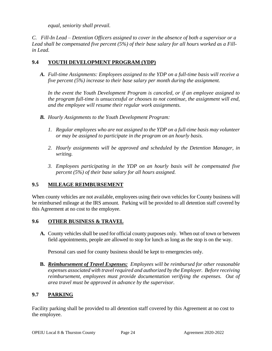*equal, seniority shall prevail.* 

*C. Fill-In Lead – Detention Officers assigned to cover in the absence of both a supervisor or a Lead shall be compensated five percent (5%) of their base salary for all hours worked as a Fillin Lead.*

## <span id="page-29-0"></span>**9.4 YOUTH DEVELOPMENT PROGRAM (YDP)**

*A. Full-time Assignments: Employees assigned to the YDP on a full-time basis will receive a five percent (5%) increase to their base salary per month during the assignment.*

*In the event the Youth Development Program is canceled, or if an employee assigned to the program full-time is unsuccessful or chooses to not continue, the assignment will end, and the employee will resume their regular work assignments.* 

- *B. Hourly Assignments to the Youth Development Program:*
	- *1. Regular employees who are not assigned to the YDP on a full-time basis may volunteer or may be assigned to participate in the program on an hourly basis.*
	- *2. Hourly assignments will be approved and scheduled by the Detention Manager, in writing.*
	- *3. Employees participating in the YDP on an hourly basis will be compensated five percent (5%) of their base salary for all hours assigned.*

#### <span id="page-29-1"></span>**9.5 MILEAGE REIMBURSEMENT**

When county vehicles are not available, employees using their own vehicles for County business will be reimbursed mileage at the IRS amount. Parking will be provided to all detention staff covered by this Agreement at no cost to the employee.

#### <span id="page-29-2"></span>**9.6 OTHER BUSINESS & TRAVEL**

**A.** County vehicles shall be used for official county purposes only. When out of town or between field appointments, people are allowed to stop for lunch as long as the stop is on the way.

Personal cars used for county business should be kept to emergencies only.

**B.** *Reimbursement of Travel Expenses: Employees will be reimbursed for other reasonable expenses associated with travel required and authorized by the Employer. Before receiving reimbursement, employees must provide documentation verifying the expenses. Out of area travel must be approved in advance by the supervisor.*

## <span id="page-29-3"></span>**9.7 PARKING**

Facility parking shall be provided to all detention staff covered by this Agreement at no cost to the employee.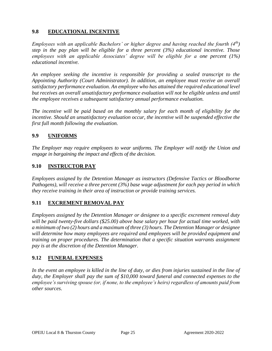## <span id="page-30-0"></span>**9.8 EDUCATIONAL INCENTIVE**

*Employees with an applicable Bachelors' or higher degree and having reached the fourth (4th) step in the pay plan will be eligible for a three percent (3%) educational incentive. Those employees with an applicable Associates' degree will be eligible for a one percent (1%) educational incentive.* 

*An employee seeking the incentive is responsible for providing a sealed transcript to the Appointing Authority (Court Administrator). In addition, an employee must receive an overall satisfactory performance evaluation. An employee who has attained the required educational level but receives an overall unsatisfactory performance evaluation will not be eligible unless and until the employee receives a subsequent satisfactory annual performance evaluation.*

*The incentive will be paid based on the monthly salary for each month of eligibility for the incentive. Should an unsatisfactory evaluation occur, the incentive will be suspended effective the first full month following the evaluation.* 

#### <span id="page-30-1"></span>**9.9 UNIFORMS**

*The Employer may require employees to wear uniforms. The Employer will notify the Union and engage in bargaining the impact and effects of the decision.*

#### <span id="page-30-2"></span>**9.10 INSTRUCTOR PAY**

*Employees assigned by the Detention Manager as instructors (Defensive Tactics or Bloodborne Pathogens), will receive a three percent (3%) base wage adjustment for each pay period in which they receive training in their area of instruction or provide training services.* 

#### <span id="page-30-3"></span>**9.11 EXCREMENT REMOVAL PAY**

*Employees assigned by the Detention Manager or designee to a specific excrement removal duty will be paid twenty-five dollars (\$25.00) above base salary per hour for actual time worked, with a minimum of two (2) hours and a maximum of three (3) hours. The Detention Manager or designee will determine how many employees are required and employees will be provided equipment and training on proper procedures. The determination that a specific situation warrants assignment pay is at the discretion of the Detention Manager.* 

#### <span id="page-30-4"></span>**9.12 FUNERAL EXPENSES**

*In the event an employee is killed in the line of duty, or dies from injuries sustained in the line of duty, the Employer shall pay the sum of \$10,000 toward funeral and connected expenses to the employee's surviving spouse (or, if none, to the employee's heirs) regardless of amounts paid from other sources*.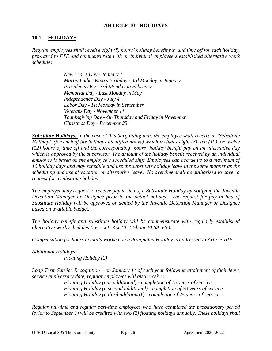#### **ARTICLE 10 - HOLIDAYS**

### <span id="page-31-1"></span><span id="page-31-0"></span>**10.1 HOLIDAYS**

*Regular employees shall receive eight (8) hours' holiday benefit pay and time off for each holiday, pro-rated to FTE and commensurate with an individual employee's established alternative work schedule:*

> *New Year's Day - January 1 Martin Luther King's Birthday - 3rd Monday in January Presidents Day - 3rd Monday in February Memorial Day - Last Monday in May Independence Day - July 4 Labor Day - 1st Monday in September Veterans Day - November 11 Thanksgiving Day - 4th Thursday and Friday in November Christmas Day - December 25*

*Substitute Holidays: In the case of this bargaining unit, the employee shall receive a "Substitute Holiday" (for each of the holidays identified above) which includes eight (8), ten (10), or twelve (12) hours of time off and the corresponding hours' holiday benefit pay on an alternative day which is approved by the supervisor. The amount of the holiday benefit received by an individual employee is based on the employee's scheduled shift. Employees can accrue up to a maximum of 10 holiday days and may schedule and use the substitute holiday leave in the same manner as the scheduling and use of vacation or alternative leave. No overtime shall be authorized to cover a request for a substitute holiday.* 

*The employee may request to receive pay in lieu of a Substitute Holiday by notifying the Juvenile Detention Manager or Designee prior to the actual holiday. The request for pay in lieu of Substitute Holiday will be approved or denied by the Juvenile Detention Manager or Designee based on available budget.* 

*The holiday benefit and substitute holiday will be commensurate with regularly established alternative work schedules (i.e. 5 x 8, 4 x 10, 12-hour FLSA, etc).*

*Compensation for hours actually worked on a designated Holiday is addressed in Article 10.5.*

*Additional Holidays: Floating Holiday (2)*

*Long Term Service Recognition – on January 1st of each year following attainment of their leave service anniversary date, regular employees will also receive:*

*Floating Holiday (one additional) - completion of 15 years of service Floating Holiday (a second additional) - completion of 20 years of service Floating Holiday (a third additiona1) - completion of 25 years of service*

*Regular full-time and regular part-time employees who have completed the probationary period (prior to September 1) will be credited with two (2) floating holidays annually. These holidays shall*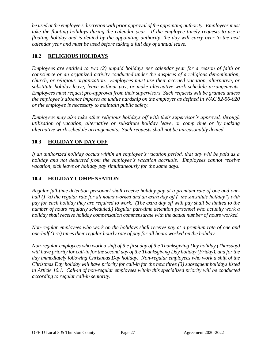*be used at the employee's discretion with prior approval of the appointing authority. Employees must take the floating holidays during the calendar year. If the employee timely requests to use a floating holiday and is denied by the appointing authority, the day will carry over to the next calendar year and must be used before taking a full day of annual leave.* 

## <span id="page-32-0"></span>**10.2 RELIGIOUS HOLIDAYS**

*Employees are entitled to two (2) unpaid holidays per calendar year for a reason of faith or conscience or an organized activity conducted under the auspices of a religious denomination, church, or religious organization. Employees must use their accrued vacation, alternative, or substitute holiday leave, leave without pay, or make alternative work schedule arrangements. Employees must request pre-approval from their supervisors. Such requests will be granted unless the employee's absence imposes an undue hardship on the employer as defined in WAC 82-56-020 or the employee is necessary to maintain public safety.*

*Employees may also take other religious holidays off with their supervisor's approval, through utilization of vacation, alternative or substitute holiday leave, or comp time or by making alternative work schedule arrangements. Such requests shall not be unreasonably denied.*

## <span id="page-32-1"></span>**10.3 HOLIDAY ON DAY OFF**

*If an authorized holiday occurs within an employee's vacation period, that day will be paid as a holiday and not deducted from the employee's vacation accruals. Employees cannot receive vacation, sick leave or holiday pay simultaneously for the same days.*

## <span id="page-32-2"></span>**10.4 HOLIDAY COMPENSATION**

*Regular full-time detention personnel shall receive holiday pay at a premium rate of one and onehalf (1 ½) the regular rate for all hours worked and an extra day off ("the substitute holiday") with pay for each holiday they are required to work. (The extra day off with pay shall be limited to the number of hours regularly scheduled.) Regular part-time detention personnel who actually work a holiday shall receive holiday compensation commensurate with the actual number of hours worked.*

*Non-regular employees who work on the holidays shall receive pay at a premium rate of one and one-half (1 ½) times their regular hourly rate of pay for all hours worked on the holiday.* 

*Non-regular employees who work a shift of the first day of the Thanksgiving Day holiday (Thursday) will have priority for call-in for the second day of the Thanksgiving Day holiday (Friday). and for the day immediately following Christmas Day holiday. Non-regular employees who work a shift of the Christmas Day holiday will have priority for call-in for the next three (3) subsequent holidays listed in Article 10.1. Call-in of non-regular employees within this specialized priority will be conducted according to regular call-in seniority.*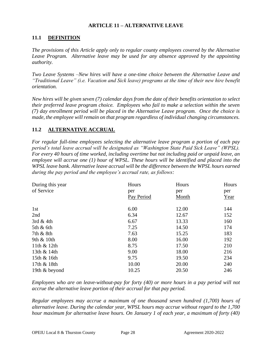#### **ARTICLE 11 – ALTERNATIVE LEAVE**

## <span id="page-33-1"></span><span id="page-33-0"></span>**11.1 DEFINITION**

*The provisions of this Article apply only to regular county employees covered by the Alternative Leave Program. Alternative leave may be used for any absence approved by the appointing authority.* 

*Two Leave Systems –New hires will have a one-time choice between the Alternative Leave and "Traditional Leave" (i.e. Vacation and Sick leave) programs at the time of their new hire benefit orientation.*

*New hires will be given seven (7) calendar days from the date of their benefits orientation to select their preferred leave program choice. Employees who fail to make a selection within the seven (7) day enrollment period will be placed in the Alternative Leave program. Once the choice is made, the employee will remain on that program regardless of individual changing circumstances.*

## <span id="page-33-2"></span>**11.2 ALTERNATIVE ACCRUAL**

*For regular full-time employees selecting the alternative leave program a portion of each pay period's total leave accrual will be designated as "Washington State Paid Sick Leave" (WPSL). For every 40 hours of time worked, including overtime but not including paid or unpaid leave, an employee will accrue one (1) hour of WPSL. These hours will be identified and placed into the WPSL leave bank. Alternative leave accrual will be the difference between the WPSL hours earned during the pay period and the employee's accrual rate, as follows:*

| During this year<br>of Service | Hours<br>per<br>Pay Period | Hours<br>per<br>Month | Hours<br>per<br>Year |
|--------------------------------|----------------------------|-----------------------|----------------------|
| 1st                            | 6.00                       | 12.00                 | 144                  |
| 2nd                            | 6.34                       | 12.67                 | 152                  |
| 3rd $&$ 4th                    | 6.67                       | 13.33                 | 160                  |
| $5th \& 6th$                   | 7.25                       | 14.50                 | 174                  |
| 7th & 8th                      | 7.63                       | 15.25                 | 183                  |
| 9th $& 10$ th                  | 8.00                       | 16.00                 | 192                  |
| 11th $&$ 12th                  | 8.75                       | 17.50                 | 210                  |
| 13th $& 14$ th                 | 9.00                       | 18.00                 | 216                  |
| 15th & 16th                    | 9.75                       | 19.50                 | 234                  |
| 17th & 18th                    | 10.00                      | 20.00                 | 240                  |
| 19th & beyond                  | 10.25                      | 20.50                 | 246                  |

*Employees who are on leave-without-pay for forty (40) or more hours in a pay period will not accrue the alternative leave portion of their accrual for that pay period.*

*Regular employees may accrue a maximum of one thousand seven hundred (1,700) hours of alternative leave. During the calendar year, WPSL hours may accrue without regard to the 1,700 hour maximum for alternative leave hours. On January 1 of each year, a maximum of forty (40)*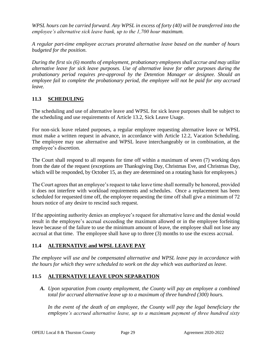*WPSL hours can be carried forward. Any WPSL in excess of forty (40) will be transferred into the employee's alternative sick leave bank, up to the 1,700 hour maximum.*

*A regular part-time employee accrues prorated alternative leave based on the number of hours budgeted for the position.*

*During the first six (6) months of employment, probationary employees shall accrue and may utilize alternative leave for sick leave purposes. Use of alternative leave for other purposes during the probationary period requires pre-approval by the Detention Manager or designee. Should an employee fail to complete the probationary period, the employee will not be paid for any accrued leave.* 

## <span id="page-34-0"></span>**11.3 SCHEDULING**

The scheduling and use of alternative leave and WPSL for sick leave purposes shall be subject to the scheduling and use requirements of Article 13.2, Sick Leave Usage.

For non-sick leave related purposes, a regular employee requesting alternative leave or WPSL must make a written request in advance, in accordance with Article 12.2, Vacation Scheduling. The employee may use alternative and WPSL leave interchangeably or in combination, at the employee's discretion.

The Court shall respond to all requests for time off within a maximum of seven (7) working days from the date of the request (exceptions are Thanksgiving Day, Christmas Eve, and Christmas Day, which will be responded, by October 15, as they are determined on a rotating basis for employees.)

The Court agrees that an employee's request to take leave time shall normally be honored, provided it does not interfere with workload requirements and schedules. Once a replacement has been scheduled for requested time off, the employee requesting the time off shall give a minimum of 72 hours notice of any desire to rescind such request.

If the appointing authority denies an employee's request for alternative leave and the denial would result in the employee's accrual exceeding the maximum allowed or in the employee forfeiting leave because of the failure to use the minimum amount of leave, the employee shall not lose any accrual at that time. The employee shall have up to three (3) months to use the excess accrual.

## <span id="page-34-1"></span>**11.4 ALTERNATIVE and WPSL LEAVE PAY**

*The employee will use and be compensated alternative and WPSL leave pay in accordance with the hours for which they were scheduled to work on the day which was authorized as leave.*

#### <span id="page-34-2"></span>**11.5 ALTERNATIVE LEAVE UPON SEPARATION**

*A. Upon separation from county employment, the County will pay an employee a combined total for accrued alternative leave up to a maximum of three hundred (300) hours.* 

In the event of the death of an employee, the County will pay the legal beneficiary the *employee's accrued alternative leave, up to a maximum payment of three hundred sixty*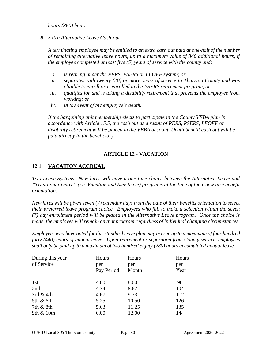*hours (360) hours.* 

*B. Extra Alternative Leave Cash-out* 

*A terminating employee may be entitled to an extra cash out paid at one-half of the number of remaining alternative leave hours, up to a maximum value of 340 additional hours, if the employee completed at least five (5) years of service with the county and:*

- *i. is retiring under the PERS, PSERS or LEOFF system; or*
- *ii. separates with twenty (20) or more years of service to Thurston County and was eligible to enroll or is enrolled in the PSERS retirement program, or*
- *iii. qualifies for and is taking a disability retirement that prevents the employee from working; or*
- *iv. in the event of the employee's death.*

If the bargaining unit membership elects to participate in the County VEBA plan in *accordance with Article 15.5, the cash out as a result of PERS, PSERS, LEOFF or disability retirement will be placed in the VEBA account. Death benefit cash out will be paid directly to the beneficiary.*

## **ARTICLE 12 - VACATION**

## <span id="page-35-1"></span><span id="page-35-0"></span>**12.1 VACATION ACCRUAL**

*Two Leave Systems –New hires will have a one-time choice between the Alternative Leave and "Traditional Leave" (i.e. Vacation and Sick leave) programs at the time of their new hire benefit orientation.*

*New hires will be given seven (7) calendar days from the date of their benefits orientation to select their preferred leave program choice. Employees who fail to make a selection within the seven (7) day enrollment period will be placed in the Alternative Leave program. Once the choice is made, the employee will remain on that program regardless of individual changing circumstances.*

*Employees who have opted for this standard leave plan may accrue up to a maximum of four hundred forty (440) hours of annual leave. Upon retirement or separation from County service, employees shall only be paid up to a maximum of two hundred eighty (280) hours accumulated annual leave.*

| During this year<br>of Service | Hours<br>per<br>Pay Period | Hours<br>per<br>Month | Hours<br>per<br>Year |
|--------------------------------|----------------------------|-----------------------|----------------------|
| 1st                            | 4.00                       | 8.00                  | 96                   |
| 2nd                            | 4.34                       | 8.67                  | 104                  |
| 3rd & 4th                      | 4.67                       | 9.33                  | 112                  |
| 5th & 6th                      | 5.25                       | 10.50                 | 126                  |
| 7th & 8th                      | 5.63                       | 11.25                 | 135                  |
| 9th $& 10$ th                  | 6.00                       | 12.00                 | 144                  |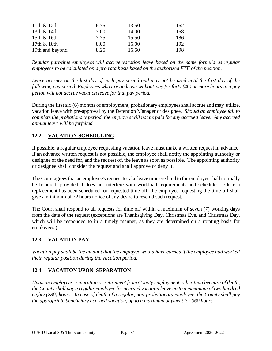| 11th $& 12th$   | 6.75 | 13.50 | 162 |
|-----------------|------|-------|-----|
| 13th & 14th     | 7.00 | 14.00 | 168 |
| 15th & 16th     | 7.75 | 15.50 | 186 |
| 17th & 18th     | 8.00 | 16.00 | 192 |
| 19th and beyond | 8.25 | 16.50 | 198 |

*Regular part-time employees will accrue vacation leave based on the same formula as regular employees to be calculated on a pro rata basis based on the authorized FTE of the position.*

*Leave accrues on the last day of each pay period and may not be used until the first day of the following pay period. Employees who are on leave-without-pay for forty (40) or more hours in a pay period will not accrue vacation leave for that pay period.*

During the first six (6) months of employment, probationary employees shall accrue and may utilize, vacation leave with pre-approval by the Detention Manager or designee. *Should an employee fail to complete the probationary period, the employee will not be paid for any accrued leave. Any accrued annual leave will be forfeited.* 

## <span id="page-36-0"></span>**12.2 VACATION SCHEDULING**

If possible, a regular employee requesting vacation leave must make a written request in advance. If an advance written request is not possible, the employee shall notify the appointing authority or designee of the need for, and the request of, the leave as soon as possible. The appointing authority or designee shall consider the request and shall approve or deny it.

The Court agrees that an employee's request to take leave time credited to the employee shall normally be honored, provided it does not interfere with workload requirements and schedules. Once a replacement has been scheduled for requested time off, the employee requesting the time off shall give a minimum of 72 hours notice of any desire to rescind such request.

The Court shall respond to all requests for time off within a maximum of seven (7) working days from the date of the request (exceptions are Thanksgiving Day, Christmas Eve, and Christmas Day, which will be responded to in a timely manner, as they are determined on a rotating basis for employees.)

## <span id="page-36-1"></span>**12.3 VACATION PAY**

*Vacation pay shall be the amount that the employee would have earned if the employee had worked their regular position during the vacation period.* 

## <span id="page-36-2"></span>**12.4 VACATION UPON SEPARATION**

*Upon an employees' separation or retirement from County employment, other than because of death, the County shall pay a regular employee for accrued vacation leave up to a maximum of two hundred eighty (280) hours. In case of death of a regular, non-probationary employee, the County shall pay the appropriate beneficiary accrued vacation, up to a maximum payment for 360 hours.*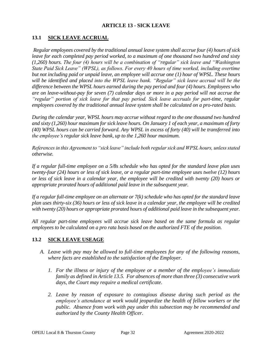#### **ARTICLE 13 - SICK LEAVE**

## <span id="page-37-1"></span><span id="page-37-0"></span>**13.1 SICK LEAVE ACCRUAL**

*Regular employees covered by the traditional annual leave system shall accrue four (4) hours of sick leave for each completed pay period worked, to a maximum of one thousand two hundred and sixty (1,260) hours. The four (4) hours will be a combination of "regular" sick leave and "Washington State Paid Sick Leave" (WPSL), as follows. For every 40 hours of time worked, including overtime but not including paid or unpaid leave, an employee will accrue one (1) hour of WPSL. These hours will be identified and placed into the WPSL leave bank. "Regular" sick leave accrual will be the difference between the WPSL hours earned during the pay period and four (4) hours. Employees who are on leave-without-pay for seven (7) calendar days or more in a pay period will not accrue the "regular" portion of sick leave for that pay period. Sick leave accruals for part-time, regular employees covered by the traditional annual leave system shall be calculated on a pro-rated basis.* 

*During the calendar year, WPSL hours may accrue without regard to the one thousand two hundred and sixty (1,260) hour maximum for sick leave hours. On January 1 of each year, a maximum of forty (40) WPSL hours can be carried forward. Any WPSL in excess of forty (40) will be transferred into the employee's regular sick leave bank, up to the 1,260 hour maximum.*

*References in this Agreement to "sick leave" include both regular sick and WPSL hours, unless stated otherwise.*

*If a regular full-time employee on a 5/8s schedule who has opted for the standard leave plan uses twenty-four (24) hours or less of sick leave, or a regular part-time employee uses twelve (12) hours or less of sick leave in a calendar year, the employee will be credited with twenty (20) hours or appropriate prorated hours of additional paid leave in the subsequent year.*

*If a regular full-time employee on an alternate or 7(k) schedule who has opted for the standard leave plan uses thirty-six (36) hours or less of sick leave in a calendar year, the employee will be credited with twenty (20) hours or appropriate prorated hours of additional paid leave in the subsequent year.* 

*All regular part-time employees will accrue sick leave based on the same formula as regular employees to be calculated on a pro rata basis based on the authorized FTE of the position.*

#### <span id="page-37-2"></span>**13.2 SICK LEAVE USEAGE**

- *A. Leave with pay may be allowed to full-time employees for any of the following reasons, where facts are established to the satisfaction of the Employer.* 
	- *1. For the illness or injury of the employee or a member of the employee's immediate family as defined in Article 13.5. For absences of more than three (3) consecutive work days, the Court may require a medical certificate.*
	- *2. Leave by reason of exposure to contagious disease during such period as the employee's attendance at work would jeopardize the health of fellow workers or the public. Absence from work with pay under this subsection may be recommended and authorized by the County Health Officer.*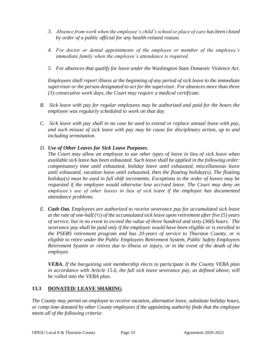- *3. Absence from work when the employee's child's school or place of care has been closed by order of a public official for any health-related reason.*
- *4. For doctor or dental appointments of the employee or member of the employee's immediate family when the employee's attendance is required.*
- *5. For absences that qualify for leave under the Washington State Domestic Violence Act.*

*Employees shall report illness at the beginning of any period of sick leave to the immediate supervisor or the person designated to act for the supervisor. For absences more than three (3) consecutive work days, the Court may require a medical certificate.* 

- *B. Sick leave with pay for regular employees may be authorized and paid for the hours the employee was regularly scheduled to work on that day.*
- *C. Sick leave with pay shall in no case be used to extend or replace annual leave with pay, and such misuse of sick leave with pay may be cause for disciplinary action, up to and including termination.*
- *D. Use of Other Leaves for Sick Leave Purposes.*

*The Court may allow an employee to use other types of leave in lieu of sick leave when available sick leave has been exhausted. Such leave shall be applied in the following order: compensatory time until exhausted, holiday leave until exhausted, miscellaneous leave until exhausted, vacation leave until exhausted, then the floating holiday(s). The floating holiday(s) must be used in full shift increments. Exceptions to the order of leaves may be requested if the employee would otherwise lose accrued leave. The Court may deny an employee's use of other leaves in lieu of sick leave if the employee has documented attendance problems.* 

*E. Cash Out. Employees are authorized to receive severance pay for accumulated sick leave at the rate of one-half (½) of the accumulated sick leave upon retirement after five (5) years of service, but in no event to exceed the value of three hundred and sixty (360) hours. The severance pay shall be paid only if the employee would have been eligible or is enrolled in the PSERS retirement program and has 20-years of service to Thurston County, or is eligible to retire under the Public Employees Retirement System, Public Safety Employees Retirement System or retires due to illness or injury, or in the event of the death of the employee.* 

*VEBA. If the bargaining unit membership elects to participate in the County VEBA plan in accordance with Article 15.6, the full sick leave severance pay, as defined above, will be rolled into the VEBA plan.*

## <span id="page-38-0"></span>**13.3 DONATED/ LEAVE SHARING**

*The County may permit an employee to receive vacation, alternative leave, substitute holiday hours, or comp time donated by other County employees if the appointing authority finds that the employee meets all of the following criteria:*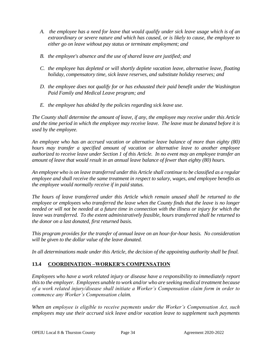- *A. the employee has a need for leave that would qualify under sick leave usage which is of an extraordinary or severe nature and which has caused, or is likely to cause, the employee to either go on leave without pay status or terminate employment; and*
- *B. the employee's absence and the use of shared leave are justified; and*
- *C. the employee has depleted or will shortly deplete vacation leave, alternative leave, floating holiday, compensatory time, sick leave reserves, and substitute holiday reserves; and*
- *D. the employee does not qualify for or has exhausted their paid benefit under the Washington Paid Family and Medical Leave program; and*
- *E. the employee has abided by the policies regarding sick leave use.*

*The County shall determine the amount of leave, if any, the employee may receive under this Article and the time period in which the employee may receive leave. The leave must be donated before it is used by the employee.*

*An employee who has an accrued vacation or alternative leave balance of more than eighty (80) hours may transfer a specified amount of vacation or alternative leave to another employee authorized to receive leave under Section 1 of this Article. In no event may an employee transfer an amount of leave that would result in an annual leave balance of fewer than eighty (80) hours.*

*An employee who is on leave transferred under this Article shall continue to be classified as a regular employee and shall receive the same treatment in respect to salary, wages, and employee benefits as the employee would normally receive if in paid status.*

*The hours of leave transferred under this Article which remain unused shall be returned to the employee or employees who transferred the leave when the County finds that the leave is no longer needed or will not be needed at a future time in connection with the illness or injury for which the leave was transferred. To the extent administratively feasible, hours transferred shall be returned to the donor on a last donated, first returned basis.*

*This program provides for the transfer of annual leave on an hour-for-hour basis. No consideration will be given to the dollar value of the leave donated.*

*In all determinations made under this Article, the decision of the appointing authority shall be final.* 

## <span id="page-39-0"></span>**13.4 COORDINATION –WORKER'S COMPENSATION**

*Employees who have a work related injury or disease have a responsibility to immediately report this to the employer. Employees unable to work and/or who are seeking medical treatment because of a work related injury/disease shall initiate a Worker's Compensation claim form in order to commence any Worker's Compensation claim.*

*When an employee is eligible to receive payments under the Worker's Compensation Act, such employees may use their accrued sick leave and/or vacation leave to supplement such payments*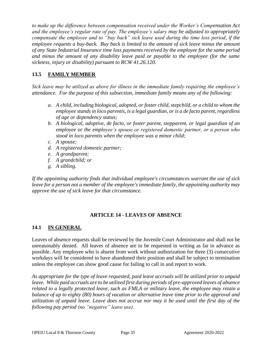*to make up the difference between compensation received under the Worker's Compensation Act and the employee's regular rate of pay. The employee's salary may be adjusted to appropriately compensate the employee and to "buy back" sick leave used during the time loss period, if the employee requests a buy-back. Buy back is limited to the amount of sick leave minus the amount of any State Industrial Insurance time loss payments received by the employee for the same period and minus the amount of any disability leave paid or payable to the employee (for the same sickness, injury or disability) pursuant to RCW 41.26.120.*

## <span id="page-40-0"></span>**13.5 FAMILY MEMBER**

*Sick leave may be utilized as above for illness in the immediate family requiring the employee's attendance. For the purpose of this subsection, immediate family means any of the following:*

- *a. A child, including biological, adopted, or foster child, stepchild, or a child to whom the employee stands in loco parentis, is a legal guardian, or is a de facto parent, regardless of age or dependency status;*
- *b. A biological, adoptive, de facto, or foster parent, stepparent, or legal guardian of an employee or the employee's spouse or registered domestic partner, or a person who stood in loco parentis when the employee was a minor child;*
- *c. A spouse;*
- *d. A registered domestic partner;*
- *e. A grandparent;*
- *f. A grandchild; or*
- *g. A sibling.*

*If the appointing authority finds that individual employee's circumstances warrant the use of sick leave for a person not a member of the employee's immediate family, the appointing authority may approve the use of sick leave for that circumstance.*

## **ARTICLE 14 - LEAVES OF ABSENCE**

## <span id="page-40-2"></span><span id="page-40-1"></span>**14.1 IN GENERAL**

Leaves of absence requests shall be reviewed by the Juvenile Court Administrator and shall not be unreasonably denied. All leaves of absence are to be requested in writing as far in advance as possible. Any employee who is absent from work without authorization for three (3) consecutive workdays will be considered to have abandoned their position and shall be subject to termination unless the employee can show good cause for failing to call in and report to work.

*As appropriate for the type of leave requested, paid leave accruals will be utilized prior to unpaid leave. While paid accruals are to be utilized first during periods of pre-approved leaves of absence related to a legally protected leave, such as FMLA or military leave, the employee may retain a balance of up to eighty (80) hours of vacation or alternative leave time prior to the approval and utilization of unpaid leave. Leave does not accrue nor may it be used until the first day of the following pay period (no "negative" leave use).*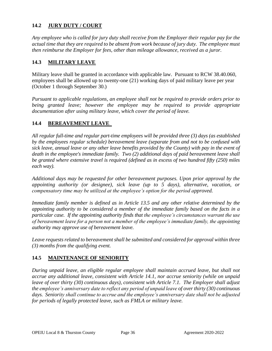## <span id="page-41-0"></span>**14.2 JURY DUTY / COURT**

*Any employee who is called for jury duty shall receive from the Employer their regular pay for the actual time that they are required to be absent from work because of jury duty. The employee must then reimburse the Employer for fees, other than mileage allowance, received as a juror.* 

#### <span id="page-41-1"></span>**14.3 MILITARY LEAVE**

Military leave shall be granted in accordance with applicable law. Pursuant to RCW 38.40.060, employees shall be allowed up to twenty-one (21) working days of paid military leave per year (October 1 through September 30.)

*Pursuant to applicable regulations, an employee shall not be required to provide orders prior to being granted leave; however the employee may be required to provide appropriate documentation after using military leave, which cover the period of leave.* 

#### <span id="page-41-2"></span>**14.4 BEREAVEMENT LEAVE**

*All regular full-time and regular part-time employees will be provided three (3) days (as established by the employees regular schedule) bereavement leave (separate from and not to be confused with sick leave, annual leave or any other leave benefits provided by the County) with pay in the event of death in the employee's immediate family. Two (2) additional days of paid bereavement leave shall be granted where extensive travel is required (defined as in excess of two hundred fifty (250) miles each way).*

*Additional days may be requested for other bereavement purposes. Upon prior approval by the appointing authority (or designee), sick leave (up to 5 days), alternative, vacation, or compensatory time may be utilized at the employee's option for the period approved.*

*Immediate family member is defined as in Article 13.5 and any other relative determined by the appointing authority to be considered a member of the immediate family based on the facts in a particular case. If the appointing authority finds that the employee's circumstances warrant the use of bereavement leave for a person not a member of the employee's immediate family, the appointing authority may approve use of bereavement leave.*

*Leave requests related to bereavement shall be submitted and considered for approval within three (3) months from the qualifying event.*

#### <span id="page-41-3"></span>**14.5 MAINTENANCE OF SENIORITY**

*During unpaid leave, an eligible regular employee shall maintain accrued leave, but shall not accrue any additional leave, consistent with Article 14.1, nor accrue seniority (while on unpaid leave of over thirty (30) continuous days), consistent with Article 7.1. The Employer shall adjust the employee's anniversary date to reflect any period of unpaid leave of over thirty (30) continuous days. Seniority shall continue to accrue and the employee's anniversary date shall not be adjusted for periods of legally protected leave, such as FMLA or military leave.*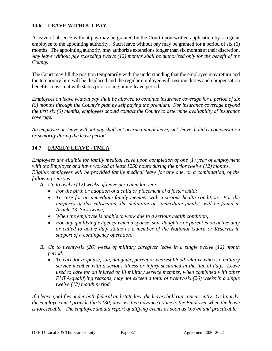## <span id="page-42-0"></span>**14.6 LEAVE WITHOUT PAY**

A leave of absence without pay may be granted by the Court upon written application by a regular employee to the appointing authority. Such leave without pay may be granted for a period of six (6) months. The appointing authority may authorize extensions longer than six months at their discretion. *Any leave without pay exceeding twelve (12) months shall be authorized only for the benefit of the County.* 

The Court may fill the position temporarily with the understanding that the employee may return and the temporary hire will be displaced and the regular employee will resume duties and compensation benefits consistent with status prior to beginning leave period.

*Employees on leave without pay shall be allowed to continue insurance coverage for a period of six (6) months through the County's plan by self paying the premium. For insurance coverage beyond the first six (6) months, employees should contact the County to determine availability of insurance coverage.*

*An employee on leave without pay shall not accrue annual leave, sick leave, holiday compensation or seniority during the leave period.*

## <span id="page-42-1"></span>**14.7 FAMILY LEAVE - FMLA**

*Employees are eligible for family medical leave upon completion of one (1) year of employment with the Employer and have worked at least 1250 hours during the prior twelve (12) months. Eligible employees will be provided family medical leave for any one, or a combination, of the following reasons:*

- *A. Up to twelve (12) weeks of leave per calendar year:*
	- *For the birth or adoption of a child or placement of a foster child;*
	- *To care for an immediate family member with a serious health condition. For the purposes of this subsection, the definition of "immediate family" will be found in Article 13, Sick Leave;*
	- *When the employee is unable to work due to a serious health condition;*
	- *For any qualifying exigency when a spouse, son, daughter or parent is on active duty or called to active duty status as a member of the National Guard or Reserves in support of a contingency operation.*
- *B. Up to twenty-six (26) weeks of military caregiver leave in a single twelve (12) month period:*
	- *To care for a spouse, son, daughter, parent or nearest blood relative who is a military service member with a serious illness or injury sustained in the line of duty. Leave used to care for an injured or ill military service member, when combined with other FMLA-qualifying reasons, may not exceed a total of twenty-six (26) weeks in a single twelve (12) month period.*

*If a leave qualifies under both federal and state law, the leave shall run concurrently. Ordinarily, the employee must provide thirty (30) days written advance notice to the Employer when the leave is foreseeable. The employee should report qualifying events as soon as known and practicable.*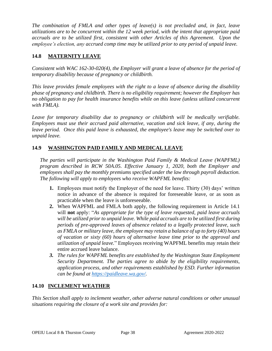*The combination of FMLA and other types of leave(s) is not precluded and, in fact, leave utilizations are to be concurrent within the 12 week period, with the intent that appropriate paid accruals are to be utilized first, consistent with other Articles of this Agreement. Upon the employee's election, any accrued comp time may be utilized prior to any period of unpaid leave.*

## <span id="page-43-0"></span>**14.8 MATERNITY LEAVE**

*Consistent with WAC 162-30-020(4), the Employer will grant a leave of absence for the period of temporary disability because of pregnancy or childbirth.* 

*This leave provides female employees with the right to a leave of absence during the disability phase of pregnancy and childbirth. There is no eligibility requirement; however the Employer has no obligation to pay for health insurance benefits while on this leave (unless utilized concurrent with FMLA).*

Leave for temporary disability due to pregnancy or childbirth will be medically verifiable. *Employees must use their accrued paid alternative, vacation and sick leave, if any, during the leave period. Once this paid leave is exhausted, the employee's leave may be switched over to unpaid leave.*

## <span id="page-43-1"></span>**14.9 WASHINGTON PAID FAMILY AND MEDICAL LEAVE**

*The parties will participate in the Washington Paid Family & Medical Leave (WAPFML) program described in RCW 50A.05. Effective January 1, 2020, both the Employer and employees shall pay the monthly premiums specified under the law through payroll deduction. The following will apply to employees who receive WAPFML benefits:*

- **1.** Employees must notify the Employer of the need for leave. Thirty (30) days' written notice in advance of the absence is required for foreseeable leave, or as soon as practicable when the leave is unforeseeable.
- **2.** When WAPFML and FMLA both apply, the following requirement in Article 14.1 will **not** apply: "*As appropriate for the type of leave requested, paid leave accruals will be utilized prior to unpaid leave. While paid accruals are to be utilized first during periods of pre-approved leaves of absence related to a legally protected leave, such as FMLA or military leave, the employee may retain a balance of up to forty (40) hours of vacation or sixty (60) hours of alternative leave time prior to the approval and utilization of unpaid leave.*" Employees receiving WAPFML benefits may retain their entire accrued leave balance.
- *3. The rules for WAPFML benefits are established by the Washington State Employment Security Department. The parties agree to abide by the eligibility requirements, application process, and other requirements established by ESD. Further information can be found at [https://paidleave.wa.gov/.](https://paidleave.wa.gov/)*

## <span id="page-43-2"></span>**14.10 INCLEMENT WEATHER**

*This Section shall apply to inclement weather, other adverse natural conditions or other unusual situations requiring the closure of a work site and provides for:*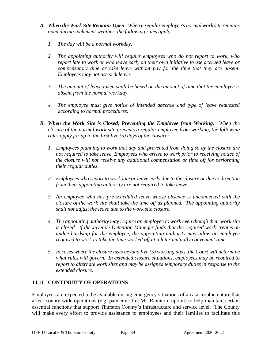- *A. When the Work Site Remains Open. When a regular employee's normal work site remains open during inclement weather, the following rules apply:*
	- *1. The day will be a normal workday.*
	- *2. The appointing authority will require employees who do not report to work, who report late to work or who leave early on their own initiative to use accrued leave or compensatory time or take leave without pay for the time that they are absent. Employees may not use sick leave.*
	- *3. The amount of leave taken shall be based on the amount of time that the employee is absent from the normal workday*
	- *4. The employee must give notice of intended absence and type of leave requested according to normal procedures.*
- *B. When the Work Site is Closed, Preventing the Employee from Working. When the closure of the normal work site prevents a regular employee from working, the following rules apply for up to the first five (5) days of the closure:*
	- *1. Employees planning to work that day and prevented from doing so by the closure are not required to take leave. Employees who arrive to work prior to receiving notice of the closure will not receive any additional compensation or time off for performing their regular duties.*
	- *2. Employees who report to work late or leave early due to the closure or due to direction from their appointing authority are not required to take leave.*
	- *3. An employee who has pre-scheduled leave whose absence is unconnected with the closure of the work site shall take the time off as planned. The appointing authority shall not adjust the leave due to the work site closure.*
	- *4. The appointing authority may require an employee to work even though their work site is closed. If the Juvenile Detention Manager finds that the required work creates an undue hardship for the employee, the appointing authority may allow an employee required to work to take the time worked off at a later mutually convenient time.*
	- *5. In cases where the closure lasts beyond five (5) working days, the Court will determine what rules will govern. In extended closure situations, employees may be required to report to alternate work sites and may be assigned temporary duties in response to the extended closure.*

## <span id="page-44-0"></span>**14.11 CONTINUITY OF OPERATIONS**

Employees are expected to be available during emergency situations of a catastrophic nature that affect county-wide operations (e.g. pandemic flu, Mt. Rainier eruption) to help maintain certain essential functions that support Thurston County's infrastructure and service level. The County will make every effort to provide assistance to employees and their families to facilitate this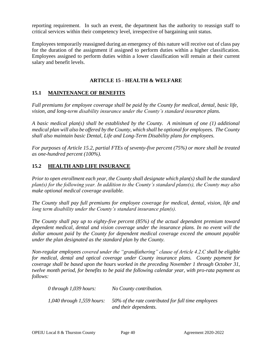reporting requirement. In such an event, the department has the authority to reassign staff to critical services within their competency level, irrespective of bargaining unit status.

Employees temporarily reassigned during an emergency of this nature will receive out of class pay for the duration of the assignment if assigned to perform duties within a higher classification. Employees assigned to perform duties within a lower classification will remain at their current salary and benefit levels.

### **ARTICLE 15 - HEALTH & WELFARE**

## <span id="page-45-1"></span><span id="page-45-0"></span>**15.1 MAINTENANCE OF BENEFITS**

*Full premiums for employee coverage shall be paid by the County for medical, dental, basic life, vision, and long-term disability insurance under the County's standard insurance plans.* 

*A basic medical plan(s) shall be established by the County. A minimum of one (1) additional medical plan will also be offered by the County, which shall be optional for employees. The County shall also maintain basic Dental, Life and Long-Term Disability plans for employees.*

*For purposes of Article 15.2, partial FTEs of seventy-five percent (75%) or more shall be treated as one-hundred percent (100%).*

## <span id="page-45-2"></span>**15.2 HEALTH AND LIFE INSURANCE**

*Prior to open enrollment each year, the County shall designate which plan(s) shall be the standard plan(s) for the following year. In addition to the County's standard plans(s), the County may also make optional medical coverage available.* 

*The County shall pay full premiums for employee coverage for medical, dental, vision, life and long term disability under the County's standard insurance plan(s).*

*The County shall pay up to eighty-five percent (85%) of the actual dependent premium toward dependent medical, dental and vision coverage under the insurance plans. In no event will the dollar amount paid by the County for dependent medical coverage exceed the amount payable under the plan designated as the standard plan by the County.*

*Non-regular employees covered under the "grandfathering" clause of Article 4.2.C shall be eligible for medical, dental and optical coverage under County insurance plans. County payment for coverage shall be based upon the hours worked in the preceding November 1 through October 31, twelve month period, for benefits to be paid the following calendar year, with pro-rata payment as follows:*

| 0 through 1,039 hours:         | No County contribution.                                                      |
|--------------------------------|------------------------------------------------------------------------------|
| $1,040$ through $1,559$ hours: | 50% of the rate contributed for full time employees<br>and their dependents. |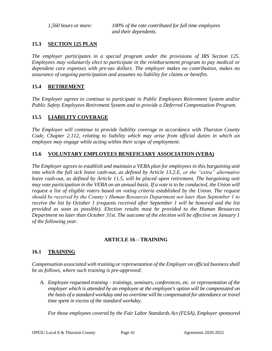*1,560 hours or more: 100% of the rate contributed for full time employees and their dependents.*

### <span id="page-46-0"></span>**15.3 SECTION 125 PLAN**

*The employer participates in a special program under the provisions of IRS Section 125. Employees may voluntarily elect to participate in the reimbursement program to pay medical or dependent care expenses with pre-tax dollars. The employer makes no contribution, makes no assurance of ongoing participation and assumes no liability for claims or benefits.* 

#### <span id="page-46-1"></span>**15.4 RETIREMENT**

*The Employer agrees to continue to participate in Public Employees Retirement System and/or Public Safety Employees Retirement System and to provide a Deferred Compensation Program.*

#### <span id="page-46-2"></span>**15.5 LIABILITY COVERAGE**

*The Employer will continue to provide liability coverage in accordance with Thurston County Code, Chapter 2.112, relating to liability which may arise from official duties in which an employee may engage while acting within their scope of employment.*

#### <span id="page-46-3"></span>**15.6 VOLUNTARY EMPLOYEES BENEFICIARY ASSOCIATION (VEBA)**

*The Employer agrees to establish and maintain a VEBA plan for employees in this bargaining unit into which the full sick leave cash-out, as defined by Article 13.2.E, or the "extra" alternative leave cash-out, as defined by Article 11.5, will be placed upon retirement. The bargaining unit may vote participation in the VEBA on an annual basis. If a vote is to be conducted, the Union will request a list of eligible voters based on voting criteria established by the Union. The request should be received by the County's Human Resources Department not later than September 1 to receive the list by October 1 (requests received after September 1 will be honored and the list provided as soon as possible). Election results must be provided to the Human Resources Department no later than October 31st. The outcome of the election will be effective on January 1 of the following year.*

#### **ARTICLE 16 – TRAINING**

#### <span id="page-46-5"></span><span id="page-46-4"></span>**16.1 TRAINING**

*Compensation associated with training or representation of the Employer on official business shall be as follows, where such training is pre-approved:*

*A. Employee requested training – trainings, seminars, conferences, etc. or representation of the employer which is attended by an employee at the employee's option will be compensated on the basis of a standard workday and no overtime will be compensated for attendance or travel time spent in excess of the standard workday.* 

*For those employees covered by the Fair Labor Standards Act (FLSA), Employer sponsored*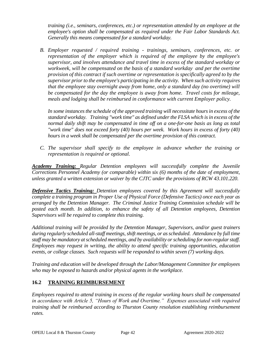*training (i.e., seminars, conferences, etc.) or representation attended by an employee at the employee's option shall be compensated as required under the Fair Labor Standards Act. Generally this means compensated for a standard workday.* 

*B. Employer requested / required training - trainings, seminars, conferences, etc. or representation of the employer which is required of the employee by the employee's supervisor, and involves attendance and travel time in excess of the standard workday or workweek, will be compensated on the basis of a standard workday and per the overtime provision of this contract if such overtime or representation is specifically agreed to by the supervisor prior to the employee's participating in the activity. When such activity requires that the employee stay overnight away from home, only a standard day (no overtime) will be compensated for the day the employee is away from home. Travel costs for mileage, meals and lodging shall be reimbursed in conformance with current Employer policy.*

*In some instances the schedule of the approved training will necessitate hours in excess of the standard workday. Training "work time" as defined under the FLSA which is in excess of the normal daily shift may be compensated in time off on a one-for-one basis as long as total "work time" does not exceed forty (40) hours per week. Work hours in excess of forty (40) hours in a week shall be compensated per the overtime provision of this contract.* 

*C. The supervisor shall specify to the employee in advance whether the training or representation is required or optional.* 

*Academy Training: Regular Detention employees will successfully complete the Juvenile Corrections Personnel Academy (or comparable) within six (6) months of the date of employment, unless granted a written extension or waiver by the CJTC under the provisions of RCW 43.101.220.* 

*Defensive Tactics Training: Detention employees covered by this Agreement will successfully complete a training program in Proper Use of Physical Force (Defensive Tactics) once each year as arranged by the Detention Manager. The Criminal Justice Training Commission schedule will be posted each month. In addition, to enhance the safety of all Detention employees, Detention Supervisors will be required to complete this training.*

*Additional training will be provided by the Detention Manager, Supervisors, and/or guest trainers during regularly scheduled all-staff meetings, shift meetings, or as scheduled. Attendance by full time staff may be mandatory at scheduled meetings, and by availability or scheduling for non-regular staff. Employees may request in writing, the ability to attend specific training opportunities, education events, or college classes. Such requests will be responded to within seven (7) working days.*

*Training and education will be developed through the Labor/Management Committee for employees who may be exposed to hazards and/or physical agents in the workplace.* 

## <span id="page-47-0"></span>**16.2 TRAINING REIMBURSEMENT**

*Employees required to attend training in excess of the regular working hours shall be compensated in accordance with Article 5, "Hours of Work and Overtime." Expenses associated with required training shall be reimbursed according to Thurston County resolution establishing reimbursement rates.*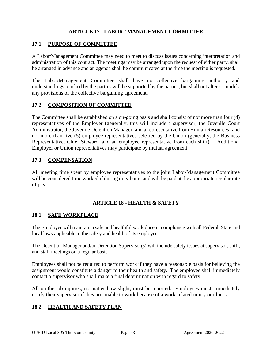## **ARTICLE 17 - LABOR / MANAGEMENT COMMITTEE**

#### <span id="page-48-1"></span><span id="page-48-0"></span>**17.1 PURPOSE OF COMMITTEE**

A Labor/Management Committee may need to meet to discuss issues concerning interpretation and administration of this contract. The meetings may be arranged upon the request of either party, shall be arranged in advance and an agenda shall be communicated at the time the meeting is requested.

The Labor/Management Committee shall have no collective bargaining authority and understandings reached by the parties will be supported by the parties, but shall not alter or modify any provisions of the collective bargaining agreement**.**

#### <span id="page-48-2"></span>**17.2 COMPOSITION OF COMMITTEE**

The Committee shall be established on a on-going basis and shall consist of not more than four (4) representatives of the Employer (generally, this will include a supervisor, the Juvenile Court Administrator, the Juvenile Detention Manager, and a representative from Human Resources) and not more than five (5) employee representatives selected by the Union (generally, the Business Representative, Chief Steward, and an employee representative from each shift). Additional Employer or Union representatives may participate by mutual agreement.

## <span id="page-48-3"></span>**17.3 COMPENSATION**

All meeting time spent by employee representatives to the joint Labor/Management Committee will be considered time worked if during duty hours and will be paid at the appropriate regular rate of pay.

#### **ARTICLE 18 - HEALTH & SAFETY**

#### <span id="page-48-5"></span><span id="page-48-4"></span>**18.1 SAFE WORKPLACE**

The Employer will maintain a safe and healthful workplace in compliance with all Federal, State and local laws applicable to the safety and health of its employees.

The Detention Manager and/or Detention Supervisor(s) will include safety issues at supervisor, shift, and staff meetings on a regular basis.

Employees shall not be required to perform work if they have a reasonable basis for believing the assignment would constitute a danger to their health and safety. The employee shall immediately contact a supervisor who shall make a final determination with regard to safety.

All on-the-job injuries, no matter how slight, must be reported. Employees must immediately notify their supervisor if they are unable to work because of a work-related injury or illness.

#### <span id="page-48-6"></span>**18.2 HEALTH AND SAFETY PLAN**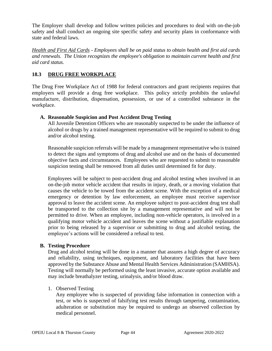The Employer shall develop and follow written policies and procedures to deal with on-the-job safety and shall conduct an ongoing site specific safety and security plans in conformance with state and federal laws.

*Health and First Aid Cards - Employees shall be on paid status to obtain health and first aid cards and renewals. The Union recognizes the employee's obligation to maintain current health and first aid card status.*

## <span id="page-49-0"></span>**18.3 DRUG FREE WORKPLACE**

The Drug Free Workplace Act of 1988 for federal contractors and grant recipients requires that employers will provide a drug free workplace. This policy strictly prohibits the unlawful manufacture, distribution, dispensation, possession, or use of a controlled substance in the workplace.

#### **A. Reasonable Suspicion and Post Accident Drug Testing**

All Juvenile Detention Officers who are reasonably suspected to be under the influence of alcohol or drugs by a trained management representative will be required to submit to drug and/or alcohol testing.

Reasonable suspicion referrals will be made by a management representative who is trained to detect the signs and symptoms of drug and alcohol use and on the basis of documented objective facts and circumstances. Employees who are requested to submit to reasonable suspicion testing shall be removed from all duties until determined fit for duty.

Employees will be subject to post-accident drug and alcohol testing when involved in an on-the-job motor vehicle accident that results in injury, death, or a moving violation that causes the vehicle to be towed from the accident scene. With the exception of a medical emergency or detention by law enforcement, an employee must receive supervisor approval to leave the accident scene. An employee subject to post-accident drug test shall be transported to the collection site by a management representative and will not be permitted to drive. When an employee, including non-vehicle operators, is involved in a qualifying motor vehicle accident and leaves the scene without a justifiable explanation prior to being released by a supervisor or submitting to drug and alcohol testing, the employee's actions will be considered a refusal to test.

#### **B. Testing Procedure**

Drug and alcohol testing will be done in a manner that assures a high degree of accuracy and reliability, using techniques, equipment, and laboratory facilities that have been approved by the Substance Abuse and Mental Health Services Administration (SAMHSA). Testing will normally be performed using the least invasive, accurate option available and may include breathalyzer testing, urinalysis, and/or blood draw.

#### 1. Observed Testing

Any employee who is suspected of providing false information in connection with a test, or who is suspected of falsifying test results through tampering, contamination, adulteration or substitution may be required to undergo an observed collection by medical personnel.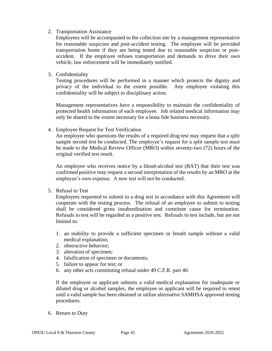#### 2. Transportation Assistance

Employees will be accompanied to the collection site by a management representative for reasonable suspicion and post-accident testing. The employee will be provided transportation home if they are being tested due to reasonable suspicion or postaccident. If the employee refuses transportation and demands to drive their own vehicle, law enforcement will be immediately notified.

3. Confidentiality

Testing procedures will be performed in a manner which protects the dignity and privacy of the individual to the extent possible. Any employee violating this confidentiality will be subject to disciplinary action.

Management representatives have a responsibility to maintain the confidentiality of protected health information of each employee. Job related medical information may only be shared to the extent necessary for a bona fide business necessity.

4. Employee Request for Test Verification

An employee who questions the results of a required drug test may request that a split sample second test be conducted. The employee's request for a split sample test must be made to the Medical Review Officer (MRO) within seventy-two (72) hours of the original verified test result.

An employee who receives notice by a blood-alcohol test (BAT) that their test was confirmed positive may request a second interpretation of the results by an MRO at the employee's own expense. A new test will not be conducted.

5. Refusal to Test

Employees requested to submit to a drug test in accordance with this Agreement will cooperate with the testing process. The refusal of an employee to submit to testing shall be considered gross insubordination and constitute cause for termination. Refusals to test will be regarded as a positive test. Refusals to test include, but are not limited to:

- 1. an inability to provide a sufficient specimen or breath sample without a valid medical explanation;
- 2. obstructive behavior;
- 3. alteration of specimen;
- 4. falsification of specimen or documents;
- 5. failure to appear for test; or
- 6. any other acts constituting refusal under 49 C.F.R. part 40.

If the employee or applicant submits a valid medical explanation for inadequate or diluted drug or alcohol samples, the employee or applicant will be required to retest until a valid sample has been obtained or utilize alternative SAMHSA approved testing procedures.

6. Return to Duty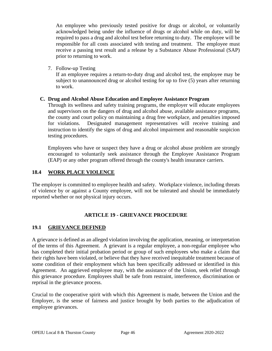An employee who previously tested positive for drugs or alcohol, or voluntarily acknowledged being under the influence of drugs or alcohol while on duty, will be required to pass a drug and alcohol test before returning to duty. The employee will be responsible for all costs associated with testing and treatment. The employee must receive a passing test result and a release by a Substance Abuse Professional (SAP) prior to returning to work.

7. Follow-up Testing

If an employee requires a return-to-duty drug and alcohol test, the employee may be subject to unannounced drug or alcohol testing for up to five (5) years after returning to work.

#### **C. Drug and Alcohol Abuse Education and Employee Assistance Program**

Through its wellness and safety training programs, the employer will educate employees and supervisors on the dangers of drug and alcohol abuse, available assistance programs, the county and court policy on maintaining a drug free workplace, and penalties imposed for violations. Designated management representatives will receive training and instruction to identify the signs of drug and alcohol impairment and reasonable suspicion testing procedures.

Employees who have or suspect they have a drug or alcohol abuse problem are strongly encouraged to voluntarily seek assistance through the Employee Assistance Program (EAP) or any other program offered through the county's health insurance carriers.

#### <span id="page-51-0"></span>**18.4 WORK PLACE VIOLENCE**

The employer is committed to employee health and safety. Workplace violence, including threats of violence by or against a County employee, will not be tolerated and should be immediately reported whether or not physical injury occurs.

#### **ARTICLE 19 - GRIEVANCE PROCEDURE**

#### <span id="page-51-2"></span><span id="page-51-1"></span>**19.1 GRIEVANCE DEFINED**

A grievance is defined as an alleged violation involving the application, meaning, or interpretation of the terms of this Agreement. A grievant is a regular employee, a non-regular employee who has completed their initial probation period or group of such employees who make a claim that their rights have been violated, or believe that they have received inequitable treatment because of some condition of their employment which has been specifically addressed or identified in this Agreement. An aggrieved employee may, with the assistance of the Union, seek relief through this grievance procedure. Employees shall be safe from restraint, interference, discrimination or reprisal in the grievance process.

Crucial to the cooperative spirit with which this Agreement is made, between the Union and the Employer, is the sense of fairness and justice brought by both parties to the adjudication of employee grievances.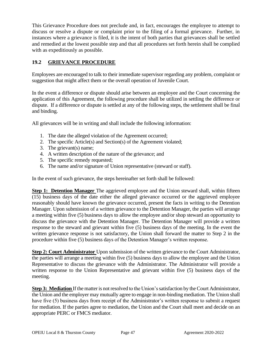This Grievance Procedure does not preclude and, in fact, encourages the employee to attempt to discuss or resolve a dispute or complaint prior to the filing of a formal grievance. Further, in instances where a grievance is filed, it is the intent of both parties that grievances shall be settled and remedied at the lowest possible step and that all procedures set forth herein shall be complied with as expeditiously as possible.

## <span id="page-52-0"></span>**19.2 GRIEVANCE PROCEDURE**

Employees are encouraged to talk to their immediate supervisor regarding any problem, complaint or suggestion that might affect them or the overall operation of Juvenile Court.

In the event a difference or dispute should arise between an employee and the Court concerning the application of this Agreement, the following procedure shall be utilized in settling the difference or dispute. If a difference or dispute is settled at any of the following steps, the settlement shall be final and binding.

All grievances will be in writing and shall include the following information:

- 1. The date the alleged violation of the Agreement occurred;
- 2. The specific Article(s) and Section(s) of the Agreement violated;
- 3. The grievant(s) name;
- 4. A written description of the nature of the grievance; and
- 5. The specific remedy requested;
- 6. The name and/or signature of Union representative (steward or staff).

In the event of such grievance, the steps hereinafter set forth shall be followed:

**Step 1: Detention Manager** The aggrieved employee and the Union steward shall, within fifteen (15) business days of the date either the alleged grievance occurred or the aggrieved employee reasonably should have known the grievance occurred, present the facts in writing to the Detention Manager. Upon submission of a written grievance to the Detention Manager, the parties will arrange a meeting within five (5) business days to allow the employee and/or shop steward an opportunity to discuss the grievance with the Detention Manager. The Detention Manager will provide a written response to the steward and grievant within five (5) business days of the meeting. In the event the written grievance response is not satisfactory, the Union shall forward the matter to Step 2 in the procedure within five (5) business days of the Detention Manager's written response.

**Step 2: Court Administrator** Upon submission of the written grievance to the Court Administrator, the parties will arrange a meeting within five (5) business days to allow the employee and the Union Representative to discuss the grievance with the Administrator. The Administrator will provide a written response to the Union Representative and grievant within five (5) business days of the meeting.

**Step 3: Mediation** If the matter is not resolved to the Union's satisfaction by the Court Administrator, the Union and the employer may mutually agree to engage in non-binding mediation. The Union shall have five (5) business days from receipt of the Administrator's written response to submit a request for mediation. If the parties agree to mediation, the Union and the Court shall meet and decide on an appropriate PERC or FMCS mediator.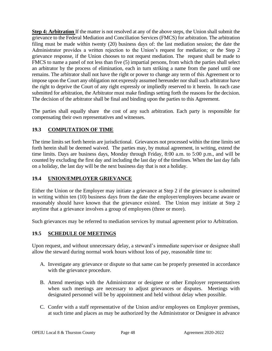**Step 4: Arbitration** If the matter is not resolved at any of the above steps, the Union shall submit the grievance to the Federal Mediation and Conciliation Services (FMCS) for arbitration. The arbitration filing must be made within twenty (20) business days of: the last mediation session; the date the Administrator provides a written rejection to the Union's request for mediation; or the Step 2 grievance response, if the Union chooses to not request mediation. The request shall be made to FMCS to name a panel of not less than five (5) impartial persons, from which the parties shall select an arbitrator by the process of elimination, each in turn striking a name from the panel until one remains. The arbitrator shall not have the right or power to change any term of this Agreement or to impose upon the Court any obligation not expressly assumed hereunder nor shall such arbitrator have the right to deprive the Court of any right expressly or impliedly reserved to it herein. In each case submitted for arbitration, the Arbitrator must make findings setting forth the reasons for the decision. The decision of the arbitrator shall be final and binding upon the parties to this Agreement.

The parties shall equally share the cost of any such arbitration. Each party is responsible for compensating their own representatives and witnesses.

## **19.3 COMPUTATION OF TIME**

The time limits set forth herein are jurisdictional. Grievances not processed within the time limits set forth herein shall be deemed waived. The parties may, by mutual agreement, in writing, extend the time limits. Days are business days, Monday through Friday, 8:00 a.m. to 5:00 p.m., and will be counted by excluding the first day and including the last day of the timelines. When the last day falls on a holiday, the last day will be the next business day that is not a holiday.

## <span id="page-53-0"></span>**19.4 UNION/EMPLOYER GRIEVANCE**

Either the Union or the Employer may initiate a grievance at Step 2 if the grievance is submitted in writing within ten (10) business days from the date the employer/employees became aware or reasonably should have known that the grievance existed. The Union may initiate at Step 2 anytime that a grievance involves a group of employees (three or more).

Such grievances may be referred to mediation services by mutual agreement prior to Arbitration.

## <span id="page-53-1"></span>**19.5 SCHEDULE OF MEETINGS**

Upon request, and without unnecessary delay, a steward's immediate supervisor or designee shall allow the steward during normal work hours without loss of pay, reasonable time to:

- A. Investigate any grievance or dispute so that same can be properly presented in accordance with the grievance procedure.
- B. Attend meetings with the Administrator or designee or other Employer representatives when such meetings are necessary to adjust grievances or disputes. Meetings with designated personnel will be by appointment and held without delay when possible.
- C. Confer with a staff representative of the Union and/or employees on Employer premises, at such time and places as may be authorized by the Administrator or Designee in advance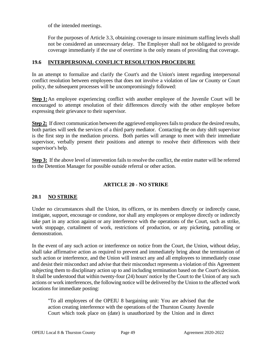of the intended meetings.

For the purposes of Article 3.3, obtaining coverage to insure minimum staffing levels shall not be considered an unnecessary delay. The Employer shall not be obligated to provide coverage immediately if the use of overtime is the only means of providing that coverage.

#### <span id="page-54-0"></span>**19.6 INTERPERSONAL CONFLICT RESOLUTION PROCEDURE**

In an attempt to formalize and clarify the Court's and the Union's intent regarding interpersonal conflict resolution between employees that does not involve a violation of law or County or Court policy, the subsequent processes will be uncompromisingly followed:

**Step 1:**An employee experiencing conflict with another employee of the Juvenile Court will be encouraged to attempt resolution of their differences directly with the other employee before expressing their grievance to their supervisor.

**Step 2:** If direct communication between the aggrieved employees fails to produce the desired results, both parties will seek the services of a third party mediator. Contacting the on duty shift supervisor is the first step in the mediation process. Both parties will arrange to meet with their immediate supervisor, verbally present their positions and attempt to resolve their differences with their supervisor's help.

**Step 3:** If the above level of intervention fails to resolve the conflict, the entire matter will be referred to the Detention Manager for possible outside referral or other action.

#### **ARTICLE 20 - NO STRIKE**

#### <span id="page-54-2"></span><span id="page-54-1"></span>**20.1 NO STRIKE**

Under no circumstances shall the Union, its officers, or its members directly or indirectly cause, instigate, support, encourage or condone, nor shall any employees or employee directly or indirectly take part in any action against or any interference with the operations of the Court, such as strike, work stoppage, curtailment of work, restrictions of production, or any picketing, patrolling or demonstration.

In the event of any such action or interference on notice from the Court, the Union, without delay, shall take affirmative action as required to prevent and immediately bring about the termination of such action or interference, and the Union will instruct any and all employees to immediately cease and desist their misconduct and advise that their misconduct represents a violation of this Agreement subjecting them to disciplinary action up to and including termination based on the Court's decision. It shall be understood that within twenty-four (24) hours' notice by the Court to the Union of any such actions or work interferences, the following notice will be delivered by the Union to the affected work locations for immediate posting:

"To all employees of the OPEIU 8 bargaining unit: You are advised that the action creating interference with the operations of the Thurston County Juvenile Court which took place on (date) is unauthorized by the Union and in direct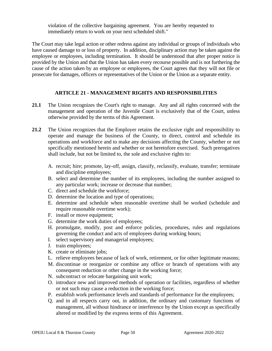violation of the collective bargaining agreement. You are hereby requested to immediately return to work on your next scheduled shift."

The Court may take legal action or other redress against any individual or groups of individuals who have caused damage to or loss of property. In addition, disciplinary action may be taken against the employee or employees, including termination. It should be understood that after proper notice is provided by the Union and that the Union has taken every recourse possible and is not furthering the cause of the action taken by an employee or employees, the Court agrees that they will not file or prosecute for damages, officers or representatives of the Union or the Union as a separate entity.

## **ARTICLE 21 - MANAGEMENT RIGHTS AND RESPONSIBILITIES**

- <span id="page-55-0"></span>**21.1** The Union recognizes the Court's right to manage. Any and all rights concerned with the management and operation of the Juvenile Court is exclusively that of the Court, unless otherwise provided by the terms of this Agreement.
- **21.2** The Union recognizes that the Employer retains the exclusive right and responsibility to operate and manage the business of the County, to direct, control and schedule its operations and workforce and to make any decisions affecting the County, whether or not specifically mentioned herein and whether or not heretofore exercised. Such prerogatives shall include, but not be limited to, the sole and exclusive rights to:
	- A. recruit; hire; promote, lay-off, assign, classify, reclassify, evaluate, transfer; terminate and discipline employees;
	- B. select and determine the number of its employees, including the number assigned to any particular work; increase or decrease that number;
	- C. direct and schedule the workforce;
	- D. determine the location and type of operations;
	- E. determine and schedule when reasonable overtime shall be worked (schedule and require reasonable overtime work);
	- F. install or move equipment;
	- G. determine the work duties of employees;
	- H. promulgate, modify, post and enforce policies, procedures, rules and regulations governing the conduct and acts of employees during working hours;
	- I. select supervisory and managerial employees;
	- J. train employees;
	- K. create or eliminate jobs;
	- L. relieve employees because of lack of work, retirement, or for other legitimate reasons;
	- M. discontinue or reorganize or combine any office or branch of operations with any consequent reduction or other change in the working force;
	- N. subcontract or relocate bargaining unit work;
	- O. introduce new and improved methods of operation or facilities, regardless of whether or not such may cause a reduction in the working force;
	- P. establish work performance levels and standards of performance for the employees;
	- Q. and in all respects carry out, in addition, the ordinary and customary functions of management, all without hindrance or interference by the Union except as specifically altered or modified by the express terms of this Agreement.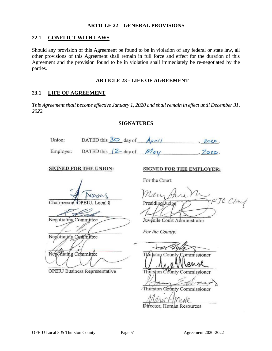#### **ARTICLE 22 – GENERAL PROVISIONS**

#### <span id="page-56-1"></span><span id="page-56-0"></span>**22.1 CONFLICT WITH LAWS**

Should any provision of this Agreement be found to be in violation of any federal or state law, all other provisions of this Agreement shall remain in full force and effect for the duration of this Agreement and the provision found to be in violation shall immediately be re-negotiated by the parties.

#### **ARTICLE 23 - LIFE OF AGREEMENT**

#### <span id="page-56-3"></span><span id="page-56-2"></span>**23.1 LIFE OF AGREEMENT**

<span id="page-56-4"></span>*This Agreement shall become effective January 1, 2020 and shall remain in effect until December 31, 2022.*

#### **SIGNATURES**

|                       | Union: DATED this $\frac{30}{2}$ day of $\frac{4 \rho r}{l}$ | , 2020.                                    |
|-----------------------|--------------------------------------------------------------|--------------------------------------------|
|                       | Employer: DATED this $\sqrt{2}$ day of $\frac{May}{AV}$      | , 2020.                                    |
|                       | <b>SIGNED FOR THE UNION:</b>                                 | <b>SIGNED FOR THE EMPLOYER:</b>            |
|                       |                                                              | For the Court:                             |
| Negotiating Committee | Chairperson, OPEIU, Local 8                                  | Mary Aun M<br>Juvénile Court Administrator |
| Negotiating Committee |                                                              | For the County:                            |
| Negotiating Committee |                                                              |                                            |
|                       |                                                              | Thurston County Commissioner               |
|                       | OPEIU Business Representative                                | Thurston County Commissioner               |

Gounty Commissioner

Director, Human Resources